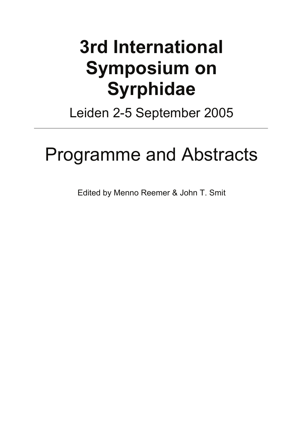# **3rd International Symposium on Syrphidae**

Leiden 2-5 September 2005

# Programme and Abstracts

Edited by Menno Reemer & John T. Smit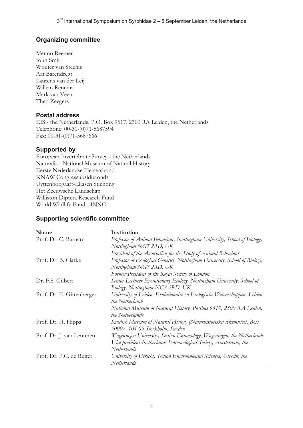## **Organizing committee**

Menno Reemer John Smit Wouter van Steenis Aat Barendregt Laurens van der Leij Willem Renema Mark van Veen Theo Zeegers

#### **Postal address**

EIS - the Netherlands, P.O. Box 9517, 2300 RA Leiden, the Netherlands Telephone: 00-31-(0)71-5687594 Fax: 00-31-(0)71-5687666

#### **Supported by**

European Invertebrate Survey - the Netherlands Naturalis - National Museum of Natural History Eerste Nederlandse Fietsersbond KNAW Congressubsidiefonds Uyttenboogaart-Eliasen Stichting Het Zeeuwsche Landschap Williston Diptera Research Fund World Wildlife Fund - INNO

#### **Name Institution**  Prof. Dr. C. Barnard *Professor of Animal Behaviour, Nottingham University, School of Biology, Nottingham NG7 2RD, UK President of the Association for the Study of Animal Behaviour*  Prof. Dr. B. Clarke *Professor of Ecological Genetics, Nottingham University, School of Biology, Nottingham NG7 2RD, UK Former President of the Royal Society of London* Dr. F.S. Gilbert *Senior Lecturer Evolutionary Ecology, Nottingham University, School of Biology, Nottingham NG7 2RD, UK*  Prof. Dr. E. Gittenberger *University of Leiden, Evolutionaire en Ecologische Wetenschappen, Leiden, the Netherlands National Museum of Natural History, Postbus 9517, 2300 RA Leiden, the Netherlands* Prof. Dr. H. Hippa *Swedish Museum of Natural History (Naturhistoriska riksmuseet),Box 50007, 104 05 Stockholm, Sweden* Prof. Dr. J. van Lenteren *Wageningen University, Section Entomology, Wageningen, the Netherlands Vice-president Netherlands Entomological Society, Amsterdam, the Netherlands*  Prof. Dr. P.C. de Ruiter *University of Utrecht, Section Environmental Sciences, Utrecht, the Netherlands*

## **Supporting scientific committee**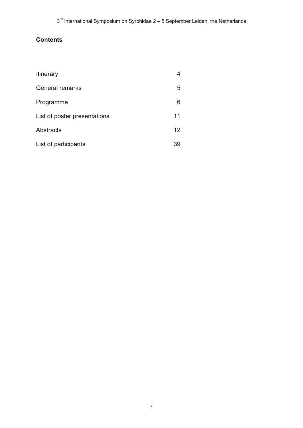# **Contents**

| Itinerary                    |    |
|------------------------------|----|
| <b>General remarks</b>       | 5  |
| Programme                    | 6  |
| List of poster presentations | 11 |
| Abstracts                    | 12 |
| List of participants         | 39 |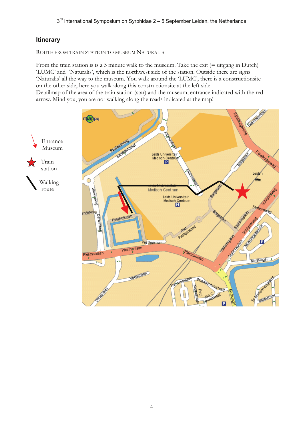## **Itinerary**

ROUTE FROM TRAIN STATION TO MUSEUM NATURALIS

From the train station is is a 5 minute walk to the museum. Take the exit  $(=$  uitgang in Dutch) 'LUMC' and 'Naturalis', which is the northwest side of the station. Outside there are signs 'Naturalis' all the way to the museum. You walk around the 'LUMC', there is a constructionsite on the other side, here you walk along this constructionsite at the left side.

Detailmap of the area of the train station (star) and the museum, entrance indicated with the red arrow. Mind you, you are not walking along the roads indicated at the map!

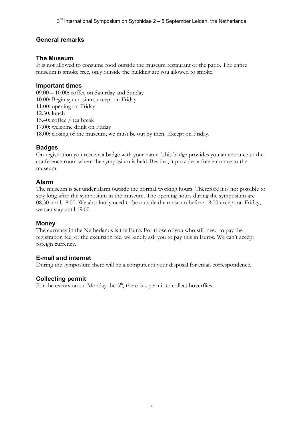## **General remarks**

## **The Museum**

It is not allowed to consume food outside the museum restaurant or the patio. The entire museum is smoke free, only outside the building are you allowed to smoke.

## **Important times**

09.00 – 10.00: coffee on Saturday and Sunday 10.00: Begin symposium, except on Friday 11.00: opening on Friday 12.30: lunch 15.40: coffee / tea break 17.00: welcome drink on Friday 18.00: closing of the museum, we must be out by then! Except on Friday.

## **Badges**

On registration you receive a badge with your name. This badge provides you an entrance to the conference room where the symposium is held. Besides, it provides a free entrance to the museum.

## **Alarm**

The museum is set under alarm outside the normal working hours. Therefore it is not possible to stay long after the symposium in the museum. The opening hours during the symposium are 08.30 until 18.00. We absolutely need to be outside the museum before 18.00 except on Friday, we can stay until 19.00.

#### **Money**

The currency in the Netherlands is the Euro. For those of you who still need to pay the registration fee, or the excursion fee, we kindly ask you to pay this in Euros. We can't accept foreign currency.

## **E-mail and internet**

During the symposium there will be a computer at your disposal for email correspondence.

## **Collecting permit**

For the excursion on Monday the  $5<sup>th</sup>$ , there is a permit to collect hoverflies.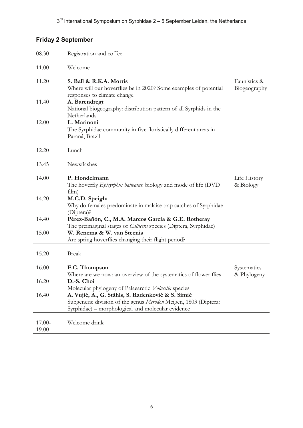# **Friday 2 September**

| 08.30           | Registration and coffee                                                                                                                                                   |                              |
|-----------------|---------------------------------------------------------------------------------------------------------------------------------------------------------------------------|------------------------------|
| 11.00           | Welcome                                                                                                                                                                   |                              |
| 11.20           | S. Ball & R.K.A. Morris<br>Where will our hoverflies be in 2020? Some examples of potential<br>responses to climate change                                                | Faunistics &<br>Biogeography |
| 11.40           | A. Barendregt<br>National biogeography: distribution pattern of all Syrphids in the<br>Netherlands                                                                        |                              |
| 12.00           | L. Marinoni<br>The Syrphidae community in five floristically different areas in<br>Paraná, Brazil                                                                         |                              |
| 12.20           | Lunch                                                                                                                                                                     |                              |
| 13.45           | Newsflashes                                                                                                                                                               |                              |
| 14.00           | P. Hondelmann<br>The hoverfly <i>Episyrphus balteatus</i> : biology and mode of life (DVD<br>film)                                                                        | Life History<br>& Biology    |
| 14.20           | M.C.D. Speight<br>Why do females predominate in malaise trap catches of Syrphidae<br>(Diptera)?                                                                           |                              |
| 14.40           | Pérez-Bañón, C., M.A. Marcos García & G.E. Rotheray<br>The preimaginal stages of Callicera species (Diptera, Syrphidae)                                                   |                              |
| 15.00           | W. Renema & W. van Steenis<br>Are spring hoverflies changing their flight period?                                                                                         |                              |
| 15.20           | <b>Break</b>                                                                                                                                                              |                              |
| 16.00           | F.C. Thompson<br>Where are we now: an overview of the systematics of flower flies                                                                                         | Systematics<br>& Phylogeny   |
| 16.20           | D.-S. Choi<br>Molecular phylogeny of Palaearctic Volucella species                                                                                                        |                              |
| 16.40           | A. Vujić, A., G. Ståhls, S. Radenković & S. Simić<br>Subgeneric division of the genus Merodon Meigen, 1803 (Diptera:<br>Syrphidae) – morphological and molecular evidence |                              |
| 17.00-<br>19.00 | Welcome drink                                                                                                                                                             |                              |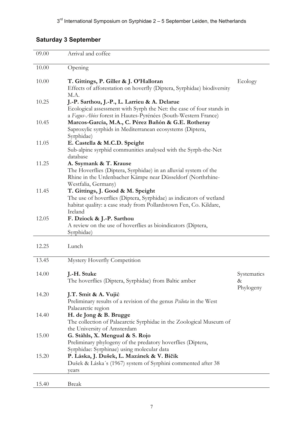# **Saturday 3 September**

| 09.00 | Arrival and coffee                                                                                                                                                                                   |                  |
|-------|------------------------------------------------------------------------------------------------------------------------------------------------------------------------------------------------------|------------------|
| 10.00 | Opening                                                                                                                                                                                              |                  |
| 10.00 | T. Gittings, P. Giller & J. O'Halloran<br>Effects of afforestation on hoverfly (Diptera, Syrphidae) biodiversity                                                                                     | Ecology          |
| 10.25 | M.A.<br>J.-P. Sarthou, J.-P., L. Larrieu & A. Delarue<br>Ecological assessment with Syrph the Net: the case of four stands in                                                                        |                  |
| 10.45 | a Fagus-Abies forest in Hautes-Pyrénées (South-Western France)<br>Marcos-García, M.A., C. Pérez Bañón & G.E. Rotheray<br>Saproxylic syrphids in Mediterranean ecosystems (Diptera,                   |                  |
| 11.05 | Syrphidae)<br>E. Castella & M.C.D. Speight<br>Sub-alpine syrphid communities analysed with the Syrph-the-Net                                                                                         |                  |
| 11.25 | database<br>A. Ssymank & T. Krause<br>The Hoverflies (Diptera, Syrphidae) in an alluvial system of the<br>Rhine in the Urdenbacher Kämpe near Düsseldorf (Northrhine-                                |                  |
| 11.45 | Westfalia, Germany)<br>T. Gittings, J. Good & M. Speight<br>The use of hoverflies (Diptera, Syrphidae) as indicators of wetland<br>habitat quality: a case study from Pollardstown Fen, Co. Kildare, |                  |
| 12.05 | Ireland<br>F. Dziock & J.-P. Sarthou<br>A review on the use of hoverflies as bioindicators (Diptera,<br>Syrphidae)                                                                                   |                  |
| 12.25 | Lunch                                                                                                                                                                                                |                  |
| 13.45 | Mystery Hoverfly Competition                                                                                                                                                                         |                  |
| 14.00 | J.-H. Stuke<br>The hoverflies (Diptera, Syrphidae) from Baltic amber                                                                                                                                 | Systematics<br>& |
| 14.20 | J.T. Smit & A. Vujić<br>Preliminary results of a revision of the genus <i>Psilota</i> in the West<br>Palaearctic region                                                                              | Phylogeny        |
| 14.40 | H. de Jong & B. Brugge<br>The collection of Palaearctic Syrphidae in the Zoological Museum of                                                                                                        |                  |
| 15.00 | the University of Amsterdam<br>G. Ståhls, X. Mengual & S. Rojo<br>Preliminary phylogeny of the predatory hoverflies (Diptera,                                                                        |                  |
| 15.20 | Syrphidae: Syrphinae) using molecular data<br>P. Láska, J. Dušek, L. Mazánek & V. Bičik<br>Dušek & Láska's (1967) system of Syrphini commented after 38<br>years                                     |                  |
| 15.40 | <b>Break</b>                                                                                                                                                                                         |                  |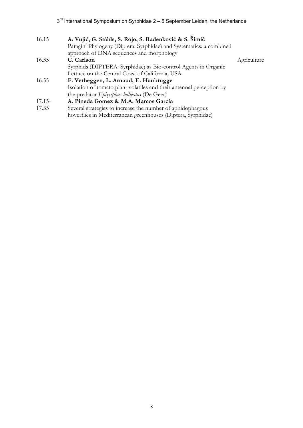| 16.15    | A. Vujić, G. Ståhls, S. Rojo, S. Radenković & S. Šimić               |             |  |
|----------|----------------------------------------------------------------------|-------------|--|
|          | Paragini Phylogeny (Diptera: Syrphidae) and Systematics: a combined  |             |  |
|          | approach of DNA sequences and morphology                             |             |  |
| 16.35    | C. Carlson                                                           | Agriculture |  |
|          | Syrphids (DIPTERA: Syrphidae) as Bio-control Agents in Organic       |             |  |
|          | Lettuce on the Central Coast of California, USA                      |             |  |
| 16.55    | F. Verheggen, L. Arnaud, E. Haubrugge                                |             |  |
|          | Isolation of tomato plant volatiles and their antennal perception by |             |  |
|          | the predator <i>Episyrphus balteatus</i> (De Geer)                   |             |  |
| $17.15-$ | A. Pineda Gomez & M.A. Marcos García                                 |             |  |
| 17.25    | Soverel strategies to increase the number of ephidophegous           |             |  |

17.35 Several strategies to increase the number of aphidophagous hoverflies in Mediterranean greenhouses (Diptera, Syrphidae)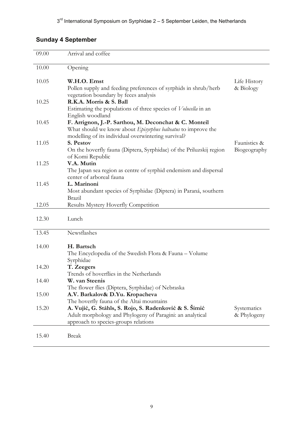# **Sunday 4 September**

| 09.00 | Arrival and coffee                                                                                                                                                                   |                            |
|-------|--------------------------------------------------------------------------------------------------------------------------------------------------------------------------------------|----------------------------|
| 10.00 | Opening                                                                                                                                                                              |                            |
| 10.05 | W.H.O. Ernst                                                                                                                                                                         | Life History               |
|       | Pollen supply and feeding preferences of syrphids in shrub/herb<br>vegetation boundary by feces analysis                                                                             | & Biology                  |
| 10.25 | R.K.A. Morris & S. Ball<br>Estimating the populations of three species of <i>Volucella</i> in an<br>English woodland                                                                 |                            |
| 10.45 | F. Arrignon, J.-P. Sarthou, M. Deconchat & C. Monteil<br>What should we know about <i>Episyrphus balteatus</i> to improve the<br>modelling of its individual overwintering survival? |                            |
| 11.05 | S. Pestov                                                                                                                                                                            | Faunistics &               |
|       | On the hoverfly fauna (Diptera, Syrphidae) of the Priluzskij region<br>of Komi Republic                                                                                              | Biogeography               |
| 11.25 | V.A. Mutin<br>The Japan sea region as centre of syrphid endemism and dispersal<br>center of arboreal fauna                                                                           |                            |
| 11.45 | L. Marinoni<br>Most abundant species of Syrphidae (Diptera) in Paraná, southern                                                                                                      |                            |
|       | Brazil                                                                                                                                                                               |                            |
| 12.05 | Results Mystery Hoverfly Competition                                                                                                                                                 |                            |
| 12.30 | Lunch                                                                                                                                                                                |                            |
| 13.45 | Newsflashes                                                                                                                                                                          |                            |
| 14.00 | H. Bartsch<br>The Encyclopedia of the Swedish Flora & Fauna - Volume                                                                                                                 |                            |
|       | Syrphidae                                                                                                                                                                            |                            |
| 14.20 | T. Zeegers<br>Trends of hoverflies in the Netherlands                                                                                                                                |                            |
| 14.40 | W. van Steenis<br>The flower flies (Diptera, Syrphidae) of Nebraska                                                                                                                  |                            |
| 15.00 | A.V. Barkalov& D.Yu. Kropacheva<br>The hoverfly fauna of the Altai mountains                                                                                                         |                            |
| 15.20 | A. Vujić, G. Ståhls, S. Rojo, S. Radenković & S. Šimić<br>Adult morphology and Phylogeny of Paragini: an analytical<br>approach to species-groups relations                          | Systematics<br>& Phylogeny |
| 15.40 | <b>Break</b>                                                                                                                                                                         |                            |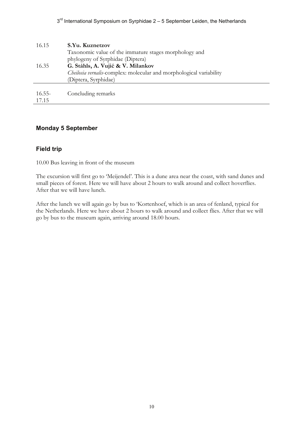| 16.15              | S.Yu. Kuznetzov<br>Taxonomic value of the immature stages morphology and<br>phylogeny of Syrphidae (Diptera)                     |
|--------------------|----------------------------------------------------------------------------------------------------------------------------------|
| 16.35              | G. Ståhls, A. Vujić & V. Milankov<br>Cheilosia vernalis-complex: molecular and morphological variability<br>(Diptera, Syrphidae) |
| $16.55 -$<br>17.15 | Concluding remarks                                                                                                               |

#### **Monday 5 September**

## **Field trip**

10.00 Bus leaving in front of the museum

The excursion will first go to 'Meijendel'. This is a dune area near the coast, with sand dunes and small pieces of forest. Here we will have about 2 hours to walk around and collect hoverflies. After that we will have lunch.

After the lunch we will again go by bus to 'Kortenhoef, which is an area of fenland, typical for the Netherlands. Here we have about 2 hours to walk around and collect flies. After that we will go by bus to the museum again, arriving around 18.00 hours.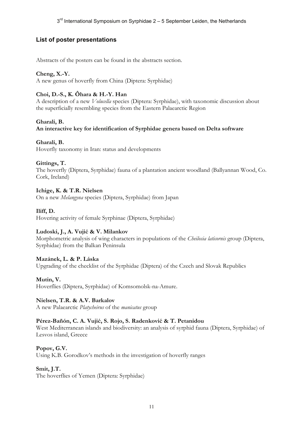## **List of poster presentations**

Abstracts of the posters can be found in the abstracts section.

#### **Cheng, X.-Y.**

A new genus of hoverfly from China (Diptera: Syrphidae)

## **Choi, D.-S., K. Ôhara & H.-Y. Han**

A description of a new *Volucella* species (Diptera: Syrphidae), with taxonomic discussion about the superficially resembling species from the Eastern Palaearctic Region

#### **Gharali, B.**

**An interactive key for identification of Syrphidae genera based on Delta software** 

#### **Gharali, B.**

Hoverfly taxonomy in Iran: status and developments

#### **Gittings, T.**

The hoverfly (Diptera, Syrphidae) fauna of a plantation ancient woodland (Ballyannan Wood, Co. Cork, Ireland)

#### **Ichige, K. & T.R. Nielsen**

On a new *Melangyna* species (Diptera, Syrphidae) from Japan

#### **Iliff, D.**

Hovering activity of female Syrphinae (Diptera, Syrphidae)

#### **Ludoski, J., A. Vujić & V. Milankov**

Morphometric analysis of wing characters in populations of the *Cheilosia laticornis* group (Diptera, Syrphidae) from the Balkan Peninsula

#### **Mazánek, L. & P. Láska**

Upgrading of the checklist of the Syrphidae (Diptera) of the Czech and Slovak Republics

#### **Mutin, V.**

Hoverflies (Diptera, Syrphidae) of Komsomolsk-na-Amure.

#### **Nielsen, T.R. & A.V. Barkalov**

A new Palaearctic *Platycheirus* of the *manicatus* group

#### **Pérez-Bañón, C. A. Vujić, S. Rojo, S. Radenković & T. Petanidou**

West Mediterranean islands and biodiversity: an analysis of syrphid fauna (Diptera, Syrphidae) of Lesvos island, Greece

#### **Popov, G.V.**

Using K.B. Gorodkov's methods in the investigation of hoverfly ranges

#### **Smit, J.T.**

The hoverflies of Yemen (Diptera: Syrphidae)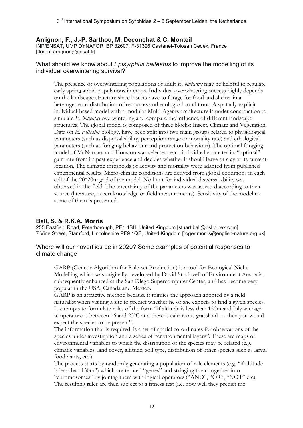## **Arrignon, F., J.-P. Sarthou, M. Deconchat & C. Monteil**

INP/ENSAT, UMP DYNAFOR, BP 32607, F-31326 Castanet-Tolosan Cedex, France [florent.arrignon@ensat.fr]

#### What should we know about *Episyrphus balteatus* to improve the modelling of its individual overwintering survival?

The presence of overwintering populations of adult *E. balteatus* may be helpful to regulate early spring aphid populations in crops. Individual overwintering success highly depends on the landscape structure since insects have to forage for food and shelter in a heterogeneous distribution of resources and ecological conditions. A spatially-explicit individual-based model with a modular Multi-Agents architecture is under construction to simulate *E. balteatus* overwintering and compare the influence of different landscape structures. The global model is composed of three blocks: Insect, Climate and Vegetation. Data on *E. balteatus* biology, have been split into two main groups related to physiological parameters (such as dispersal ability, perception range or mortality rate) and ethological parameters (such as foraging behaviour and protection behaviour). The optimal foraging model of McNamara and Houston was selected: each individual estimates its "optimal" gain rate from its past experience and decides whether it should leave or stay at its current location. The climatic thresholds of activity and mortality were adapted from published experimental results. Micro-climate conditions are derived from global conditions in each cell of the 20\*20m grid of the model. No limit for individual dispersal ability was observed in the field. The uncertainty of the parameters was assessed according to their source (literature, expert knowledge or field measurements). Sensitivity of the model to some of them is presented.

#### **Ball, S. & R.K.A. Morris**

255 Eastfield Road, Peterborough, PE1 4BH, United Kingdom [stuart.ball@dsl.pipex.com] 7 Vine Street, Stamford, Lincolnshire PE9 1QE, United Kingdom [roger.morris@english-nature.org.uk]

#### Where will our hoverflies be in 2020? Some examples of potential responses to climate change

GARP (Genetic Algorithm for Rule-set Production) is a tool for Ecological Niche Modelling which was originally developed by David Stockwell of Environment Australia, subsequently enhanced at the San Diego Supercomputer Center, and has become very popular in the USA, Canada and Mexico.

GARP is an attractive method because it mimics the approach adopted by a field naturalist when visiting a site to predict whether he or she expects to find a given species. It attempts to formulate rules of the form "if altitude is less than 150m and July average temperature is between 16 and 23ºC and there is calcareous grassland … then you would expect the species to be present".

The information that is required, is a set of spatial co-ordinates for observations of the species under investigation and a series of "environmental layers". These are maps of environmental variables to which the distribution of the species may be related (e.g. climatic variables, land cover, altitude, soil type, distribution of other species such as larval foodplants, etc.)

The process starts by randomly generating a population of rule elements (e.g. "if altitude is less than 150m") which are termed "genes" and stringing them together into "chromosomes" by joining them with logical operators ("AND", "OR", "NOT" etc). The resulting rules are then subject to a fitness test (i.e. how well they predict the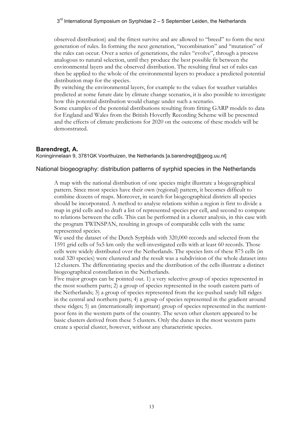observed distribution) and the fittest survive and are allowed to "breed" to form the next generation of rules. In forming the next generation, "recombination" and "mutation" of the rules can occur. Over a series of generations, the rules "evolve", through a process analogous to natural selection, until they produce the best possible fit between the environmental layers and the observed distribution. The resulting final set of rules can then be applied to the whole of the environmental layers to produce a predicted potential distribution map for the species.

By switching the environmental layers, for example to the values for weather variables predicted at some future date by climate change scenarios, it is also possible to investigate how this potential distribution would change under such a scenario.

Some examples of the potential distributions resulting from fitting GARP models to data for England and Wales from the British Hoverfly Recording Scheme will be presented and the effects of climate predictions for 2020 on the outcome of these models will be demonstrated.

## **Barendregt, A.**

Koninginnelaan 9, 3781GK Voorthuizen, the Netherlands [a.barendregt@geog.uu.nl]

#### National biogeography: distribution patterns of syrphid species in the Netherlands

A map with the national distribution of one species might illustrate a biogeographical pattern. Since most species have their own (regional) pattern, it becomes difficult to combine dozens of maps. Moreover, in search for biogeographical districts all species should be incorporated. A method to analyse relations within a region is first to divide a map in grid cells and to draft a list of represented species per cell, and second to compute to relations between the cells. This can be performed in a cluster analysis, in this case with the program TWINSPAN, resulting in groups of comparable cells with the same represented species.

We used the dataset of the Dutch Syrphids with 320,000 records and selected from the 1591 grid cells of 5x5 km only the well-investigated cells with at least 60 records. Those cells were widely distributed over the Netherlands. The species lists of these 875 cells (in total 320 species) were clustered and the result was a subdivision of the whole dataset into 12 clusters. The differentiating species and the distribution of the cells illustrate a distinct biogeographical constellation in the Netherlands.

Five major groups can be pointed out. 1) a very selective group of species represented in the most southern parts; 2) a group of species represented in the south eastern parts of the Netherlands; 3) a group of species represented from the ice-pushed sandy hill ridges in the central and northern parts; 4) a group of species represented in the gradient around these ridges; 5) an (internationally important) group of species represented in the nutrientpoor fens in the western parts of the country. The seven other clusters appeared to be basic clusters derived from these 5 clusters. Only the dunes in the most western parts create a special cluster, however, without any characteristic species.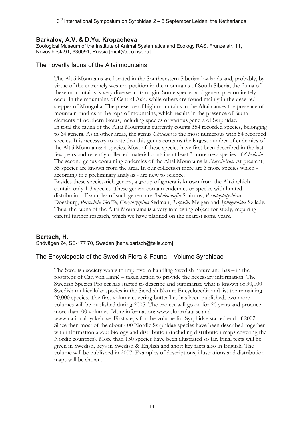#### **Barkalov, A.V. & D.Yu. Kropacheva**

Zoological Museum of the Institute of Animal Systematics and Ecology RAS, Frunze str. 11, Novosibirsk-91, 630091, Russia [mu4@eco.nsc.ru]

#### The hoverfly fauna of the Altai mountains

The Altai Mountains are located in the Southwestern Siberian lowlands and, probably, by virtue of the extremely western position in the mountains of South Siberia, the fauna of these mouontains is very diverse in its origin. Some species and genera predominately occur in the mountains of Central Asia, while others are found mainly in the deserted steppes of Mongolia. The presence of high mountains in the Altai causes the presence of mountain tundras at the tops of mountains, which results in the presence of fauna elements of northern biotas, including species of various genera of Syrphidae. In total the fauna of the Altai Mountains currently counts 354 recorded species, belonging to 64 genera. As in other areas, the genus *Cheilosia* is the most numerous with 54 recorded species. It is necessary to note that this genus contains the largest number of endemics of the Altai Mountains: 4 species. Most of these species have first been described in the last few years and recently collected material contains at least 3 more new species of *Cheilosia*. The second genus containing endemics of the Altai Mountains is *Platycheirus*. At prestent, 35 species are known from the area. In our collection there are 3 more species which according to a preliminary analysis - are new to science. Besides these species-rich genera, a group of genera is known from the Altai which

contain only 1-3 species. These genera contain endemics or species with limited distribution. Examples of such genera are *Rohdendorfia* Smirnov, *Pseudoplatychirus* Doesburg, *Portevinia* Goffe, *Chrysosyrphus* Sedman, *Tropidia* Meigen and *Spheginoides* Szilady. Thus, the fauna of the Altai Mountains is a very interesting object for study, requiring careful further research, which we have planned on the nearest some years.

#### **Bartsch, H.**

Snövägen 24, SE-177 70, Sweden [hans.bartsch@telia.com]

#### The Encyclopedia of the Swedish Flora & Fauna – Volume Syrphidae

The Swedish society wants to improve in handling Swedish nature and has – in the footsteps of Carl von Linné – taken action to provide the necessary information. The Swedish Species Project has started to describe and summarize what is known of 30,000 Swedish multicellular species in the Swedish Nature Encyclopedia and list the remaining 20,000 species. The first volume covering butterflies has been published, two more volumes will be published during 2005. The project will go on for 20 years and produce more than100 volumes. More information: www.slu.artdata.se and www.nationalnyckeln.se. First steps for the volume for Syrphidae started end of 2002. Since then most of the about 400 Nordic Syrphidae species have been described together with information about biology and distribution (including distribution maps covering the Nordic countries). More than 150 species have been illustrated so far. Final texts will be given in Swedish, keys in Swedish & English and short key facts also in English. The volume will be published in 2007. Examples of descriptions, illustrations and distribution maps will be shown.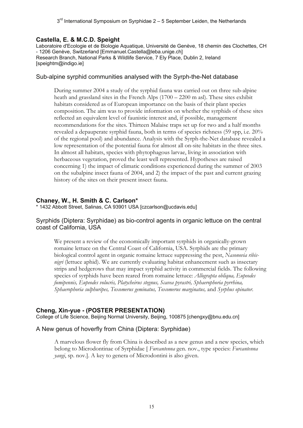#### **Castella, E. & M.C.D. Speight**

Laboratoire d'Ecologie et de Biologie Aquatique, Université de Genève, 18 chemin des Clochettes, CH - 1206 Genève, Switzerland [Emmanuel.Castella@leba.unige.ch] Research Branch, National Parks & Wildlife Service, 7 Ely Place, Dublin 2, Ireland [speightm@indigo.ie]

#### Sub-alpine syrphid communities analysed with the Syrph-the-Net database

During summer 2004 a study of the syrphid fauna was carried out on three sub-alpine heath and grassland sites in the French Alps (1700 – 2200 m asl). These sites exhibit habitats considered as of European importance on the basis of their plant species composition. The aim was to provide information on whether the syrphids of these sites reflected an equivalent level of faunistic interest and, if possible, management recommendations for the sites. Thirteen Malaise traps set up for two and a half months revealed a depauperate syrphid fauna, both in terms of species richness (59 spp, i.e. 20% of the regional pool) and abundance. Analysis with the Syrph-the-Net database revealed a low representation of the potential fauna for almost all on-site habitats in the three sites. In almost all habitats, species with phytophagous larvae, living in association with herbaceous vegetation, proved the least well represented. Hypotheses are raised concerning 1) the impact of climatic conditions experienced during the summer of 2003 on the subalpine insect fauna of 2004, and 2) the impact of the past and current grazing history of the sites on their present insect fauna.

#### **Chaney, W., H. Smith & C. Carlson\***

\* 1432 Abbott Street, Salinas, CA 93901 USA [czcarlson@ucdavis.edu]

#### Syrphids (Diptera: Syrphidae) as bio-control agents in organic lettuce on the central coast of California, USA

We present a review of the economically important syrphids in organically-grown romaine lettuce on the Central Coast of California, USA. Syrphids are the primary biological control agent in organic romaine lettuce suppressing the pest, *Nasonovia ribisnigri* (lettuce aphid). We are currently evaluating habitat enhancement such as insectary strips and hedgerows that may impact syrphid activity in commercial fields. The following species of syrphids have been reared from romaine lettuce: *Allograpta obliqua, Eupeodes fumipennis, Eupeodes volucris, Platycheirus stegnus, Scavea pyrastri, Sphaerophoria pyrrhina, Sphaerophoria sulphuripes, Toxomerus geminatus, Toxomerus marginatus,* and *Syrphus opinator*.

#### **Cheng, Xin-yue - (POSTER PRESENTATION)**

College of Life Science, Beijing Normal University, Beijing, 100875 [chengxy@bnu.edu.cn]

#### A New genus of hoverfly from China (Diptera: Syrphidae)

A marvelous flower fly from China is described as a new genus and a new species, which belong to Microdontinae of Syrphidae [ *Furcantenna* gen. nov., type species: *Furcantenna yangi*, sp. nov.]. A key to genera of Microdontini is also given.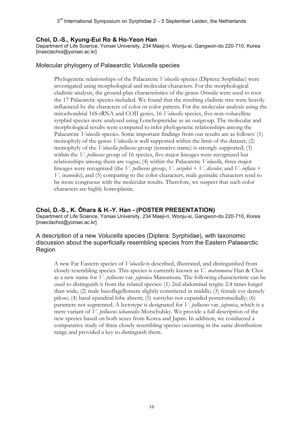#### **Choi, D.-S., Kyung-Eui Ro & Ho-Yeon Han**

Department of Life Science, Yonsei University, 234 Maeji-ri, Wonju-si, Gangwon-do 220-710, Korea [insectachoi@yonsei.ac.kr]

#### Molecular phylogeny of Palaearctic *Volucella* species

Phylogenetic relationships of the Palaearctic *Volucella* species (Diptera: Syrphidae) were investigated using morphological and molecular characters. For the morphological cladistic analysis, the ground-plan characteristics of the genus *Orinidia* were used to root the 17 Palaearctic species included. We found that the resulting cladistic tree were heavily influenced by the characters of color or color pattern. For the molecular analysis using the mitochondrial 16S rRNA and COII genes, 16 *Volucella* species, five non-volucelline syrphid species were analyzed using Lonchopteridae as an outgroup. The molecular and morphological results were compared to infer phylogenetic relationships among the Palaearctic *Volucella* species. Some important findings from our results are as follows: (1) monophyly of the genus *Volucella* is well supported within the limit of the dataset; (2) monophyly of the *Volucella pellucens* group (tentative name) is strongly supported; (3) within the *V. pellucens* group of 16 species, five major lineages were recognized but relationships among them are vague; (4) within the Palaearctic *Volucell*a, three major lineages were recognized (the *V. pellucens* group, *V. suzukii* + *V. discolor*, and *V. inflata* + *V. inanoides*); and (5) comparing to the color characters, male genitalic characters tend to be more congruous with the molecular results. Therefore, we suspect that such color characters are highly homoplastic.

#### **Choi, D.-S., K. Ôhara & H.-Y. Han - (POSTER PRESENTATION)**

Department of Life Science, Yonsei University, 234 Maeji-ri, Wonju-si, Gangwon-do 220-710, Korea [insectachoi@yonsei.ac.kr]

#### A description of a new *Volucella* species (Diptera: Syrphidae), with taxonomic discussion about the superficially resembling species from the Eastern Palaearctic Region

A new Far Eastern species of *Volucella* is described, illustrated, and distinguished from closely resembling species. This species is currently known as *V. matsumurai* Han & Choi as a new name for *V. pellucens* var. *japonica* Matsumura. The following characteristic can be used to distinguish it from the related species: (1) 2nd abdominal tergite 2.4 times longer than wide; (2) male basoflagellomere slightly constricted in middle; (3) female eye densely pilose; (4) basal epandrial lobe absent; (5) surstylus not expanded posteromedially; (6) paramere not segmented. A lectotype is designated for *V. pellucens* var. *japonica*, which is a mere variant of *V. pellucens tabanoides* Motschulsky. We provide a full description of the new species based on both sexes from Korea and Japan. In addition, we conducted a comparative study of three closely resembling species occurring in the same distribution range and provided a key to distinguish them.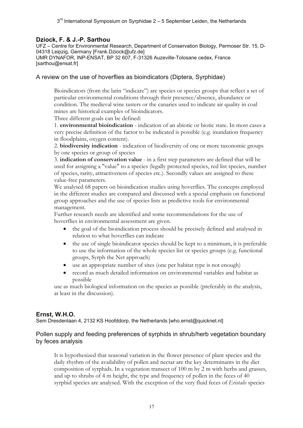#### **Dziock, F. & J.-P. Sarthou**

UFZ – Centre for Environmental Research, Department of Conservation Biology, Permoser Str. 15, D-04318 Leipzig, Germany [Frank.Dziock@ufz.de]

UMR DYNAFOR, INP-ENSAT, BP 32 607, F-31326 Auzeville-Tolosane cedex, France [sarthou@ensat.fr]

#### A review on the use of hoverflies as bioindicators (Diptera, Syrphidae)

Bioindicators (from the latin "indicare") are species or species groups that reflect a set of particular environmental conditions through their presence/absence, abundance or condition. The medieval wine tasters or the canaries used to indicate air quality in coal mines are historical examples of bioindicators.

Three different goals can be defined:

1. **environmental bioindication** - indication of an abiotic or biotic state. In most cases a very precise definition of the factor to be indicated is possible (e.g. inundation frequency in floodplains, oxygen content).

2. **biodiversity indication** - indication of biodiversity of one or more taxonomic groups by one species or group of species

3. **indication of conservation value** - in a first step parameters are defined that will be used for assigning a "value" to a species (legally protected species, red list species, number of species, rarity, attractiveness of species etc.). Secondly values are assigned to these value-free parameters.

We analysed 68 papers on bioindication studies using hoverflies. The concepts employed in the different studies are compared and discussed with a special emphasis on functional group approaches and the use of species lists as predictive tools for environmental management.

Further research needs are identified and some recommendations for the use of hoverflies in environmental assessment are given.

- the goal of the bioindication process should be precisely defined and analysed in relation to what hoverflies can indicate
- the use of single bioindicator species should be kept to a minimum, it is preferable to use the information of the whole species list or species groups (e.g. functional groups, Syrph the Net approach)
- use an appropriate number of sites (one per habitat type is not enough)
- record as much detailed information on environmental variables and habitat as possible

use as much biological information on the species as possible (preferably in the analysis, at least in the discussion).

#### **Ernst, W.H.O.**

Sem Dresdenlaan 4, 2132 KS Hoofddorp, the Netherlands [who.ernst@quicknet.nl]

#### Pollen supply and feeding preferences of syrphids in shrub/herb vegetation boundary by feces analysis

It is hypothesized that seasonal variation in the flower presence of plant species and the daily rhythm of the availability of pollen and nectar are the key determinants in the diet composition of syrphids. In a vegetation transect of 100 m by 2 m with herbs and grasses, and up to shrubs of 4 m height, the type and frequency of pollen in the feces of 40 syrphid species are analysed. With the exception of the very fluid feces of *Eristalis* species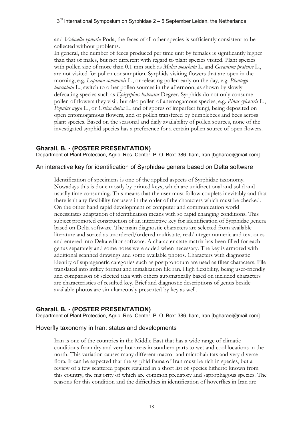#### $3<sup>rd</sup>$  International Symposium on Syrphidae 2 – 5 September Leiden, the Netherlands

and *Volucella zonaria* Poda, the feces of all other species is sufficiently consistent to be collected without problems.

In general, the number of feces produced per time unit by females is significantly higher than that of males, but not different with regard to plant species visited. Plant species with pollen size of more than 0.1 mm such as *Malva moschata* L. and *Geranium pratense* L., are not visited for pollen consumption. Syrphids visiting flowers that are open in the morning, e.g. *Lapsana communis* L., or releasing pollen early on the day, e.g. *Plantago lanceolata* L., switch to other pollen sources in the afternoon, as shown by slowly defecating species such as *Episyrphus balteatus* Degeer. Syrphids do not only consume pollen of flowers they visit, but also pollen of anemogamous species, e.g. *Pinus sylvestris* L., *Populus nigra* L., or *Urtica dioica* L. and of spores of imperfect fungi, being deposited on open entomogamous flowers, and of pollen transfered by bumblebees and bees across plant species. Based on the seasonal and daily availability of pollen sources, none of the investigated syrphid species has a preference for a certain pollen source of open flowers.

#### **Gharali, B. - (POSTER PRESENTATION)**

Department of Plant Protection, Agric. Res. Center, P. O. Box: 386, Ilam, Iran [bgharaei@mail.com]

#### An interactive key for identification of Syrphidae genera based on Delta software

Identification of specimens is one of the applied aspects of Syrphidae taxonomy. Nowadays this is done mostly by printed keys, which are unidirectional and solid and usually time consuming. This means that the user must follow couplets inevitably and that there isn't any flexibility for users in the order of the characters which must be checked. On the other hand rapid development of computer and communication world necessitates adaptation of identification means with so rapid changing conditions. This subject promoted construction of an interactive key for identification of Syrphidae genera based on Delta software. The main diagnostic characters are selected from available literature and sorted as unordered/ordered multistate, real/integer numeric and text ones and entered into Delta editor software. A character state matrix has been filled for each genus separately and some notes were added when necessary. The key is armored with additional scanned drawings and some available photos. Characters with diagnostic identity of suprageneric categories such as postpronotum are used as filter characters. File translated into intkey format and initialization file ran. High flexibility, being user-friendly and comparison of selected taxa with others automatically based on included characters are characteristics of resulted key. Brief and diagnostic descriptions of genus beside available photos are simultaneously presented by key as well.

## **Gharali, B. - (POSTER PRESENTATION)**

Department of Plant Protection, Agric. Res. Center, P. O. Box: 386, Ilam, Iran [bgharaei@mail.com]

#### Hoverfly taxonomy in Iran: status and developments

Iran is one of the countries in the Middle East that has a wide range of climatic conditions from dry and very hot areas in southern parts to wet and cool locations in the north. This variation causes many different macro- and microhabitats and very diverse flora. It can be expected that the syrphid fauna of Iran must be rich in species, but a review of a few scattered papers resulted in a short list of species hitherto known from this country, the majority of which are common predatory and saprophagous species. The reasons for this condition and the difficulties in identification of hoverflies in Iran are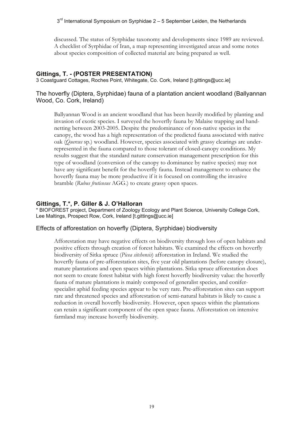discussed. The status of Syrphidae taxonomy and developments since 1989 are reviewed. A checklist of Syrphidae of Iran, a map representing investigated areas and some notes about species composition of collected material are being prepared as well.

#### **Gittings, T. - (POSTER PRESENTATION)**

3 Coastguard Cottages, Roches Point, Whitegate, Co. Cork, Ireland [t.gittings@ucc.ie]

#### The hoverfly (Diptera, Syrphidae) fauna of a plantation ancient woodland (Ballyannan Wood, Co. Cork, Ireland)

Ballyannan Wood is an ancient woodland that has been heavily modified by planting and invasion of exotic species. I surveyed the hoverfly fauna by Malaise trapping and handnetting between 2003-2005. Despite the predominance of non-native species in the canopy, the wood has a high representation of the predicted fauna associated with native oak (*Quercus* sp.) woodland. However, species associated with grassy clearings are underrepresented in the fauna compared to those tolerant of closed-canopy conditions. My results suggest that the standard nature conservation management prescription for this type of woodland (conversion of the canopy to dominance by native species) may not have any significant benefit for the hoverfly fauna. Instead management to enhance the hoverfly fauna may be more productive if it is focused on controlling the invasive bramble (*Rubus fruticosus* AGG.) to create grassy open spaces.

#### **Gittings, T.\*, P. Giller & J. O'Halloran**

\* BIOFOREST project, Department of Zoology Ecology and Plant Science, University College Cork, Lee Maltings, Prospect Row, Cork, Ireland [t.gittings@ucc.ie]

#### Effects of afforestation on hoverfly (Diptera, Syrphidae) biodiversity

Afforestation may have negative effects on biodiversity through loss of open habitats and positive effects through creation of forest habitats. We examined the effects on hoverfly biodiversity of Sitka spruce (*Picea sitchensis*) afforestation in Ireland. We studied the hoverfly fauna of pre-afforestation sites, five year old plantations (before canopy closure), mature plantations and open spaces within plantations. Sitka spruce afforestation does not seem to create forest habitat with high forest hoverfly biodiversity value: the hoverfly fauna of mature plantations is mainly composed of generalist species, and coniferspecialist aphid feeding species appear to be very rare. Pre-afforestation sites can support rare and threatened species and afforestation of semi-natural habitats is likely to cause a reduction in overall hoverfly biodiversity. However, open spaces within the plantations can retain a significant component of the open space fauna. Afforestation on intensive farmland may increase hoverfly biodiversity.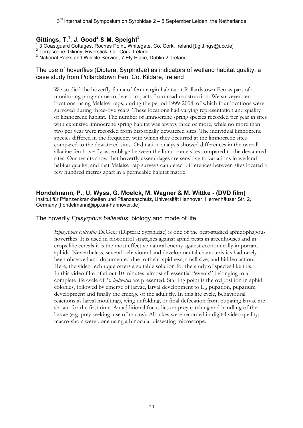## **Gittings, T.1 , J. Good2 & M. Speight3**

1 3 Coastguard Cottages, Roches Point, Whitegate, Co. Cork, Ireland [t.gittings@ucc.ie] 2

2 Terrascope, Glinny, Riverstick, Co. Cork, Ireland

 $3$  National Parks and Wildlife Service, 7 Ely Place, Dublin 2, Ireland

#### The use of hoverflies (Diptera, Syrphidae) as indicators of wetland habitat quality: a case study from Pollardstown Fen, Co. Kildare, Ireland

We studied the hoverfly fauna of fen margin habitat at Pollardstown Fen as part of a monitoring programme to detect impacts from road construction. We surveyed ten locations, using Malaise traps, during the period 1999-2004, of which four locations were surveyed during three-five years. These locations had varying representation and quality of limnocrene habitat. The number of limnocrene spring species recorded per year in sites with extensive limnocrene spring habitat was always three or more, while no more than two per year were recorded from historically dewatered sites. The individual limnocrene species differed in the frequency with which they occurred at the limnocrene sites compared to the dewatered sites. Ordination analysis showed differences in the overall alkaline fen hoverfly assemblage between the limnocrene sites compared to the dewatered sites. Our results show that hoverfly assemblages are sensitive to variations in wetland habitat quality, and that Malaise trap surveys can detect differences between sites located a few hundred metres apart in a permeable habitat matrix.

## **Hondelmann, P., U. Wyss, G. Moelck, M. Wagner & M. Wittke - (DVD film)**

Institut für Pflanzenkrankheiten und Pflanzenschutz, Universität Hannover, Herrenhäuser Str. 2, Germany [hondelmann@ipp.uni-hannover.de]

#### The hoverfly *Episyrphus balteatus*: biology and mode of life

*Episyrphus balteatus* DeGeer (Diptera: Syrphidae) is one of the best-studied aphidophagous hoverflies. It is used in biocontrol strategies against aphid pests in greenhouses and in crops like cereals it is the most effective natural enemy against economically important aphids. Nevertheless, several behavioural and developmental characteristics had rarely been observed and documented due to their rapidness, small size, and hidden action. Here, the video technique offers a suitable solution for the study of species like this. In this video film of about 10 minutes, almost all essential "events" belonging to a complete life cycle of *E. balteatus* are presented. Starting point is the oviposition in aphid colonies, followed by emerge of larvae, larval development to  $L<sub>3</sub>$ , pupation, puparium development and finally the emerge of the adult fly. In this life cycle, behavioural reactions as larval moultings, wing unfolding, or final defecation from pupating larvae are shown for the first time. An additional focus lies on prey catching and handling of the larvae (e.g. prey seeking, use of mucus). All takes were recorded in digital video quality; macro-shots were done using a binocular dissecting microscope.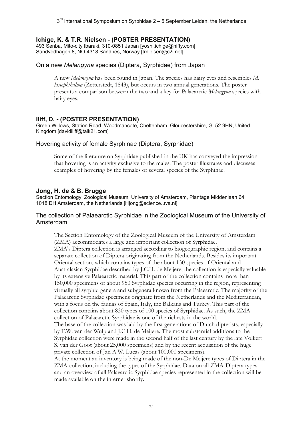#### **Ichige, K. & T.R. Nielsen - (POSTER PRESENTATION)**

493 Senba, Mito-city Ibaraki, 310-0851 Japan [yoshi.ichige@nifty.com] Sandvedhagen 8, NO-4318 Sandnes, Norway [trnielsen@c2i.net]

#### On a new *Melangyna* species (Diptera, Syrphidae) from Japan

A new *Melangyna* has been found in Japan. The species has hairy eyes and resembles *M. lasiophthalma* (Zetterstedt, 1843), but occurs in two annual generations. The poster presents a comparison between the two and a key for Palaearctic *Melangyna* species with hairy eyes.

#### **Iliff, D. - (POSTER PRESENTATION)**

Green Willows, Station Road, Woodmancote, Cheltenham, Gloucestershire, GL52 9HN, United Kingdom [davidiliff@talk21.com]

#### Hovering activity of female Syrphinae (Diptera, Syrphidae)

Some of the literature on Syrphidae published in the UK has conveyed the impression that hovering is an activity exclusive to the males. The poster illustrates and discusses examples of hovering by the females of several species of the Syrphinae.

#### **Jong, H. de & B. Brugge**

Section Entomology, Zoological Museum, University of Amsterdam, Plantage Middenlaan 64, 1018 DH Amsterdam, the Netherlands [Hjong@science.uva.nl]

#### The collection of Palaearctic Syrphidae in the Zoological Museum of the University of Amsterdam

The Section Entomology of the Zoological Museum of the University of Amsterdam (ZMA) accommodates a large and important collection of Syrphidae. ZMA's Diptera collection is arranged according to biogeographic region, and contains a separate collection of Diptera originating from the Netherlands. Besides its important Oriental section, which contains types of the about 130 species of Oriental and Australasian Syrphidae described by J.C.H. de Meijere, the collection is especially valuable by its extensive Palaearctic material. This part of the collection contains more than 150,000 specimens of about 950 Syrphidae species occurring in the region, representing virtually all syrphid genera and subgenera known from the Palaearctic. The majority of the Palaearctic Syrphidae specimens originate from the Netherlands and the Mediterranean, with a focus on the faunas of Spain, Italy, the Balkans and Turkey. This part of the collection contains about 830 types of 100 species of Syrphidae. As such, the ZMA collection of Palaearctic Syrphidae is one of the richests in the world. The base of the collection was laid by the first generations of Dutch dipterists, especially by F.W. van der Wulp and J.C.H. de Meijere. The most substantial additions to the Syrphidae collection were made in the second half of the last century by the late Volkert S. van der Goot (about 25,000 specimens) and by the recent acquisition of the huge private collection of Jan A.W. Lucas (about 100,000 specimens). At the moment an inventory is being made of the non-De Meijere types of Diptera in the ZMA-collection, including the types of the Syrphidae. Data on all ZMA-Diptera types

and an overview of all Palaearctic Syrphidae species represented in the collection will be made available on the internet shortly.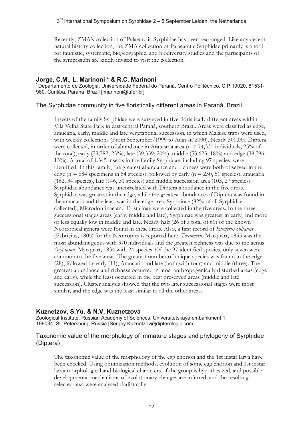Recently, ZMA's collection of Palaearctic Syrphidae has been rearranged. Like any decent natural history collection, the ZMA collection of Palaearctic Syrphidae primarily is a tool for faunistic, systematic, biogeographic, and biodiversity studies and the participants of the symposium are kindly invited to visit the collection.

#### **Jorge, C.M., L. Marinoni \* & R.C. Marinoni**

\* Departamento de Zoologia, Universidade Federal do Paraná, Centro Politécnico, C.P.19020, 81531- 980, Curitiba, Paraná, Brazil [lmarinoni@ufpr.br]

The Syrphidae community in five floristically different areas in Paraná, Brazil.

Insects of the family Syrphidae were surveyed in five floristically different areas within Vila Velha State Park in east central Paraná, southern Brazil. Areas were classifed as edge, araucaria, early, middle and late vegetational succession, in which Malaise traps were used, with weekly collections (From September/1999 to August/2000). Nearly 300,000 Diptera were collected, in order of abundance in Araucaria area (n = 74,331 individuals, 25% of the total), early (73,782; 25%), late (59,339; 20%), middle (53,623; 18%) and edge (38,796; 13%). A total of 1.345 insects in the family Syrphidae, including 97 species, were identified. In this family, the greatest abundance and richness were both observed in the edge ( $n = 684$  specimens in 54 species), followed by early ( $n = 250, 51$  species), araucaria (162, 34 species), late (146, 31 species) and middle succession area (103, 27 species). Syrphidae abundance was uncorrelated with Diptera abundance in the five areas. Syrphidae was greatest in the edge, while the greatest abundance of Diptera was found in the araucaria and the least was in the edge area. Syrphinae (82% of all Syrphidae collected), Microdontinae and Eristalinae were collected in the five areas. In the three successional stages areas (early, middle and late), Syrphinae was greatest in early, and more or less equally low in middle and late. Nearly half (26 of a total of 60) of the known Neotropical genera were found in these areas. Also, a first record of *Eumerus obliquus* (Fabricius, 1805) for the Neotropics is reported here. *Toxomerus* Macquart, 1855 was the most abundant genus with 370 individuals and the greatest richness was due to the genus *Ocyptamus* Macquart, 1834 with 24 species. Of the 97 identified species, only seven were common to the five areas. The greatest number of unique species was found in the edge (28), followed by early (11), Araucaria and late (both with four) and middle (three). The greatest abundance and richness occurred in most anthropogenically disturbed areas (edge and early), while the least occurred in the best preserved areas (middle and late succession). Cluster analysis showed that the two later successional stages were most similar, and the edge was the least similar to all the other areas.

#### **Kuznetzov, S.Yu. & N.V. Kuznetzova**

Zoological Institute, Russian Academy of Sciences, Universitetskaya embankment 1, 199034, St. Petersburg, Russia [Sergey.Kuznetzov@dipterologic.com]

#### Taxonomic value of the morphology of immature stages and phylogeny of Syrphidae (Diptera)

The taxonomic value of the morphology of the egg chorion and the 1st instar larva have been checked. Using optimization methods, evolution of some egg chorion and 1st instar larva morphological and biological characters of the group is hypothesized, and possible developmental mechanisms of evolutionary changes are inferred, and the resulting selected taxa were analysed cladistically.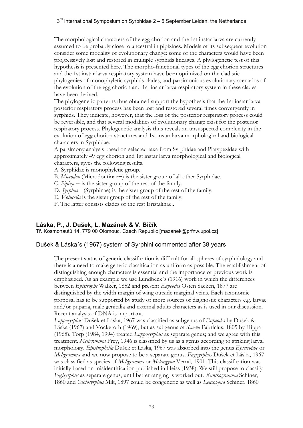#### $3<sup>rd</sup>$  International Symposium on Syrphidae 2 – 5 September Leiden, the Netherlands

The morphological characters of the egg chorion and the 1st instar larva are currently assumed to be probably close to ancestral in pipizines. Models of its subsequent evolution consider some modality of evolutionary change: some of the characters would have been progressively lost and restored in multiple syrphids lineages. A phylogenetic test of this hypothesis is presented here. The morpho-functional types of the egg chorion structures and the 1st instar larva respiratory system have been optimized on the cladistic phylogenies of monophyletic syrphids clades, and parsimonious evolutionary scenarios of the evolution of the egg chorion and 1st instar larva respiratory system in these clades have been derived.

The phylogenetic patterns thus obtained support the hypothesis that the 1st instar larva posterior respiratory process has been lost and restored several times convergently in syrphids. They indicate, however, that the loss of the posterior respiratory process could be reversible, and that several modalities of evolutionary change exist for the posterior respiratory process. Phylogenetic analysis thus reveals an unsuspected complexity in the evolution of egg chorion structures and 1st instar larva morphological and biological characters in Syrphidae.

A parsimony analysis based on selected taxa from Syrphidae and Platypezidae with approximately 49 egg chorion and 1st instar larva morphological and biological characters, gives the following results.

A. Syrphidae is monophyletic group.

B. *Microdon* (Microdontinae+) is the sister group of all other Syrphidae.

C. *Pipiza* + is the sister group of the rest of the family.

D. *Syrphus*+ (Syrphinae) is the sister group of the rest of the family.

E. *Volucella* is the sister group of the rest of the family.

F. The latter consists clades of the rest Eristalinae..

#### **Láska, P., J. Dušek, L. Mazánek & V. Bičík**

Tř. Kosmonautů 14, 779 00 Olomouc, Czech Republic [mazanek@prfnw.upol.cz]

#### Dušek & Láska´s (1967) system of Syrphini commented after 38 years

The present status of generic classification is difficult for all spheres of syrphidology and there is a need to make generic classification as uniform as possible. The establishment of distinguishing enough characters is essential and the importance of previous work is emphasized. As an example we use Lundbeck´s (1916) work in which the differences between *Epistrophe* Walker, 1852 and present *Eupeodes* Osten Sacken, 1877 are distinguished by the width margin of wing outside marginal veins. Each taxonomic proposal has to be supported by study of more sources of diagnostic characters e.g. larvae and/or puparia, male genitalia and external adults characters as is used in our discussion. Recent analysis of DNA is important.

*Lapposyrphus* Dušek et Láska, 1967 was classified as subgenus of *Eupeodes* by Dušek & Láska (1967) and Vockeroth (1969), but as subgenus of *Scaeva* Fabricius, 1805 by Hippa (1968). Torp (1984, 1994) treated *Lapposyrphus* as separate genus; and we agree with this treatment. *Meligramma* Frey, 1946 is classified by us as a genus according to striking larval morphology. *Epistrophella* Dušek et Láska, 1967 was absorbed into the genus *Epistrophe* or *Meligramma* and we now propose to be a separate genus. *Fagisyrphus* Dušek et Láska, 1967 was classified as species of *Meligramma* or *Melangyna* Verral, 1901. This classification was initially based on misidentification published in Heiss (1938). We still propose to classify *Fagisyrphus* as separate genus, until better ranging is worked out. *Xanthogramma* Schiner, 1860 and *Olbiosyrphus* Mik, 1897 could be congeneric as well as *Leucozona* Schiner, 1860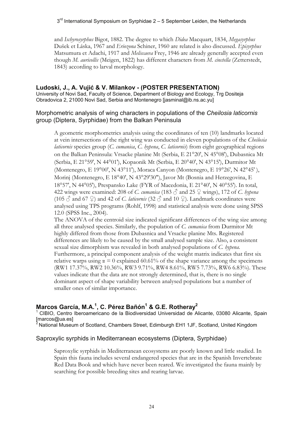and *Ischyrosyrphus* Bigot, 1882. The degree to which *Didea* Macquart, 1834, *Megasyrphus* Dušek et Láska, 1967 and *Eriozona* Schiner, 1960 are related is also discussed. *Episyrphus* Matsumura et Adachi, 1917 and *Meliscaeva* Frey, 1946 are already generally accepted even though *M. auricollis* (Meigen, 1822) has different characters from *M. cinctella* (Zetterstedt, 1843) according to larval morphology.

## **Ludoski, J., A. Vujić & V. Milankov - (POSTER PRESENTATION)**

University of Novi Sad, Faculty of Science, Department of Biology and Ecology, Trg Dositeja Obradovica 2, 21000 Novi Sad, Serbia and Montenegro [jasminal@ib.ns.ac.yu]

## Morphometric analysis of wing characters in populations of the *Cheilosia laticornis* group (Diptera, Syrphidae) from the Balkan Peninsula

A geometric morphometrics analysis using the coordinates of ten (10) landmarks located at vein intersections of the right wing was conducted in eleven populations of the *Cheilosia laticornis* species group (*C. cumanica*, *C. hypena*, *C. laticornis*) from eight geographical regions on the Balkan Peninsula: Vrsacke planine Mt (Serbia, E 21°20', N 45°08'), Dubasnica Mt (Serbia, E 21°59', N 44°01'), Kopaonik Mt (Serbia, E 20°40', N 43°15'), Durmitor Mt (Montenegro, E 19°00', N 43°11'), Moraca Canyon (Montenegro, E 19°26', N 42°45' ), Morinj (Montenegro, E 18°40', N 43°29'30"), Javor Mt (Bosnia and Herzegovina, E 18°57', N 44°05'), Prespansko Lake (FYR of Macedonia, E 21°40', N 40°55'). In total, 422 wings were examined: 208 of *C. cumanica* (183 ♂ and 25 ♀ wings), 172 of *C. hypena* (105  $\circ$  and 67  $\circ$ ) and 42 of *C. laticornis* (32  $\circ$  and 10  $\circ$ ). Landmark coordinates were analysed using TPS programs (Rohlf, 1998) and statistical analysis were done using SPSS 12.0 (SPSS Inc., 2004).

The ANOVA of the centroid size indicated significant differences of the wing size among all three analysed species. Similarly, the population of *C. cumanica* from Durmitor Mt highly differed from those from Dubasnica and Vrsacke planine Mts. Registered differences are likely to be caused by the small analysed sample size. Also, a consistent sexual size dimorphism was revealed in both analysed populations of *C. hypena*. Furthermore, a principal component analysis of the weight matrix indicates that first six relative warps using  $\alpha = 0$  explained 60.61% of the shape variance among the specimens (RW1 17.37%, RW2 10.36%, RW3 9.71%, RW4 8.61%, RW5 7.73%, RW6 6.83%). These values indicate that the data are not strongly determined, that is, there is no single dominant aspect of shape variability between analysed populations but a number of smaller ones of similar importance.

## Marcos García, M.A.<sup>1</sup>, C. Pérez Bañón<sup>1</sup> & G.E. Rotheray<sup>2</sup>

1 CIBIO, Centro Iberoamericano de la Biodiversidad Universidad de Alicante, 03080 Alicante, Spain [marcos@ua.es]

<sup>2</sup> National Museum of Scotland, Chambers Street, Edimburgh EH1 1JF, Scotland, United Kingdom

#### Saproxylic syrphids in Mediterranean ecosystems (Diptera, Syrphidae)

Saproxylic syrphids in Mediterranean ecosystems are poorly known and little studied. In Spain this fauna includes several endangered species that are in the Spanish Invertebrate Red Data Book and which have never been reared. We investigated the fauna mainly by searching for possible breeding sites and rearing larvae.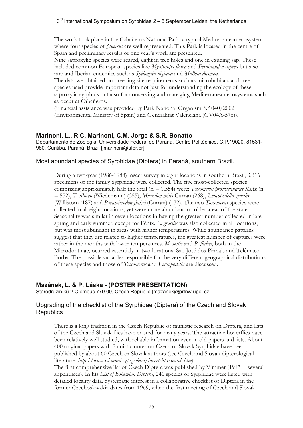The work took place in the Cabañeros National Park, a typical Mediterranean ecosystem where four species of *Quercus* are well represented. This Park is located in the centre of Spain and preliminary results of one year's work are presented.

Nine saproxylic species were reared, eight in tree holes and one in exuding sap. These included common European species like *Myathropa florea* and *Ferdinandea cuprea* but also rare and Iberian endemics such as *Spilomyia digitata* and *Mallota dusmeti*.

The data we obtained on breeding site requirements such as microhabitats and tree species used provide important data not just for understanding the ecology of these saproxylic syrphids but also for conserving and managing Mediterranean ecosystems such as occur at Cabañeros.

(Financial assistance was provided by Park National Organism Nº 040/2002 (Environmental Ministry of Spain) and Generalitat Valenciana (GV04A-576)).

#### **Marinoni, L., R.C. Marinoni, C.M. Jorge & S.R. Bonatto**

Departamento de Zoologia, Universidade Federal do Paraná, Centro Politécnico, C.P.19020, 81531- 980, Curitiba, Paraná, Brazil [lmarinoni@ufpr.br]

#### Most abundant species of Syrphidae (Diptera) in Paraná, southern Brazil.

During a two-year (1986-1988) insect survey in eight locations in southern Brazil, 3,316 specimens of the family Syrphidae were collected. The five most-collected species comprising approximately half the total (n = 1,554) were: *Toxomerus procrastinatus* Metz (n = 572), *T. tibicen* (Wiedemann) (355), *Microdon mitis* Curran (268), *Leucopodella gracilis* (Williston) (187) and *Paramicrodon flukei* (Curran) (172). The two *Toxomerus* species were collected in all eight locations, yet were more abundant in colder areas of the state. Seasonality was similar in seven locations in having the greatest number collected in late spring and early summer, except for Fênix. *L. gracilis* was also collected in all locations, but was most abundant in areas with higher temperatures. While abundance patterns suggest that they are related to higher temperatures, the greatest number of captures were rather in the months with lower temperatures. *M. mitis* and *P. flukei*, both in the Microdontinae, ocurred essentialy in two locations: São José dos Pinhais and Telêmaco Borba. The possible variables responsible for the very different geographical distributions of these species and those of *Toxomerus* and *Leucopodella* are discussed.

#### **Mazánek, L. & P. Láska - (POSTER PRESENTATION)**

Starodružiníků 2 Olomouc 779 00, Czech Republic [mazanek@prfnw.upol.cz]

#### Upgrading of the checklist of the Syrphidae (Diptera) of the Czech and Slovak **Republics**

There is a long tradition in the Czech Republic of faunistic research on Diptera, and lists of the Czech and Slovak flies have existed for many years. The attractive hoverflies have been relatively well studied, with reliable information even in old papers and lists. About 400 original papers with faunistic notes on Czech or Slovak Syrphidae have been published by about 60 Czech or Slovak authors (see Czech and Slovak dipterological literature: *http://www.sci.muni.cz/zoolecol/inverteb/research.htm*).

The first comprehensive list of Czech Diptera was published by Vimmer (1913 + several appendices). In his *List of Bohemian Diptera*, 246 species of Syrphidae were listed with detailed locality data. Systematic interest in a collaborative checklist of Diptera in the former Czechoslovakia dates from 1969, when the first meeting of Czech and Slovak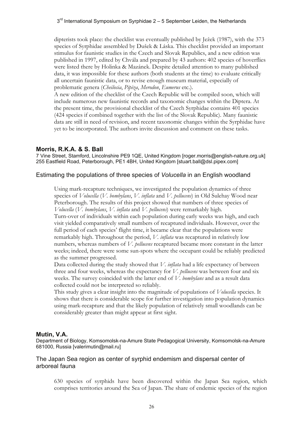dipterists took place: the checklist was eventually published by Ježek (1987), with the 373 species of Syrphidae assembled by Dušek & Láska. This checklist provided an important stimulus for faunistic studies in the Czech and Slovak Republics, and a new edition was published in 1997, edited by Chvála and prepared by 43 authors: 402 species of hoverflies were listed there by Holinka & Mazánek. Despite detailed attention to many published data, it was impossible for these authors (both students at the time) to evaluate critically all uncertain faunistic data, or to revise enough museum material, especially of problematic genera (*Cheilosia*, *Pipiza*, *Merodon*, *Eumerus* etc.).

A new edition of the checklist of the Czech Republic will be compiled soon, which will include numerous new faunistic records and taxonomic changes within the Diptera. At the present time, the provisional checklist of the Czech Syrphidae contains 401 species (424 species if combined together with the list of the Slovak Republic). Many faunistic data are still in need of revision, and recent taxonomic changes within the Syrphidae have yet to be incorporated. The authors invite discussion and comment on these tasks.

## **Morris, R.K.A. & S. Ball**

7 Vine Street, Stamford, Lincolnshire PE9 1QE, United Kingdom [roger.morris@english-nature.org.uk] 255 Eastfield Road, Peterborough, PE1 4BH, United Kingdom [stuart.ball@dsl.pipex.com]

#### Estimating the populations of three species of *Volucella* in an English woodland

Using mark-recapture techniques, we investigated the population dynamics of three species of *Volucella* (*V. bombylans*, *V. inflata* and *V. pellucens*) in Old Sulehay Wood near Peterborough. The results of this project showed that numbers of three species of *Volucella* (*V. bombylans*, *V. inflata* and *V. pellucens*) were remarkably high.

Turn-over of individuals within each population during early weeks was high, and each visit yielded comparatively small numbers of recaptured individuals. However, over the full period of each species' flight time, it became clear that the populations were remarkably high. Throughout the period, *V. inflata* was recaptured in relatively low numbers, whereas numbers of *V. pellucens* recaptured became more constant in the latter weeks; indeed, there were some sun-spots where the occupant could be reliably predicted as the summer progressed.

Data collected during the study showed that *V. inflata* had a life expectancy of between three and four weeks, whereas the expectancy for *V. pellucens* was between four and six weeks. The survey coincided with the latter end of *V. bombylans* and as a result data collected could not be interpreted so reliably.

This study gives a clear insight into the magnitude of populations of *Volucella* species. It shows that there is considerable scope for further investigation into population dynamics using mark-recapture and that the likely population of relatively small woodlands can be considerably greater than might appear at first sight.

#### **Mutin, V.A.**

Department of Biology, Komsomolsk-na-Amure State Pedagogical University, Komsomolsk-na-Amure 681000, Russia [valerimutin@mail.ru]

#### The Japan Sea region as center of syrphid endemism and dispersal center of arboreal fauna

630 species of syrphids have been discovered within the Japan Sea region, which comprises territories around the Sea of Japan. The share of endemic species of the region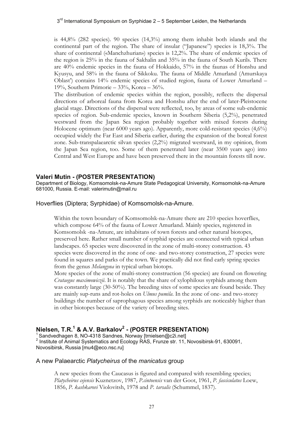is 44,8% (282 species). 90 species (14,3%) among them inhabit both islands and the continental part of the region. The share of insular ("Japanese") species is 18,3%. The share of continental («Manchzhurian») species is 12,2%. The share of endemic species of the region is 25% in the fauna of Sakhalin and 35% in the fauna of South Kurils. There are 40% endemic species in the fauna of Hokkaido, 57% in the faunas of Honshu and Kyusyu, and 58% in the fauna of Sikkoku. The fauna of Middle Amurland (Amurskaya Oblast') contains 14% endemic species of studied region, fauna of Lower Amurland – 19%, Southern Primorie – 33%, Korea – 36%.

The distribution of endemic species within the region, possibly, reflects the dispersal directions of arboreal fauna from Korea and Honshu after the end of later-Pleistocene glacial stage. Directions of the dispersal were reflected, too, by areas of some sub-endemic species of region. Sub-endemic species, known in Southern Siberia (5,2%), penetrated westward from the Japan Sea region probably together with mixed forests during Holocene optimum (near 6000 years ago). Apparently, more cold-resistant species (4,6%) occupied widely the Far East and Siberia earlier, during the expansion of the boreal forest zone. Sub-transpalaearctic silvan species (2,2%) migrated westward, in my opinion, from the Japan Sea region, too. Some of them penetrated later (near 3500 years ago) into Central and West Europe and have been preserved there in the mountain forests till now.

#### **Valeri Mutin - (POSTER PRESENTATION)**

Department of Biology, Komsomolsk-na-Amure State Pedagogical University, Komsomolsk-na-Amure 681000, Russia. E-mail: valerimutin@mail.ru

Hoverflies (Diptera; Syrphidae) of Komsomolsk-na-Amure.

Within the town boundary of Komsomolsk-na-Amure there are 210 species hoverflies, which compose 64% of the fauna of Lower Amurland. Mainly species, registered in Komsomolsk -na-Amure, are inhabitans of town forests and other natural biotopes, preserved here. Rather small number of syrphid species are connected with typical urban landscapes. 65 species were discovered in the zone of multi-storey construction. 43 species were discovered in the zone of one- and two-storey construction, 27 species were found in squares and parks of the town. We practically did not find early spring species from the genus *Melangyna* in typical urban biotops.

More species of the zone of multi-storey construction (56 species) are found on flowering *Crataegus maximowiczii*. It is notably that the share of xylophilous syrphids among them was constantly large (30-50%). The breeding sites of some species are found beside. They are mainly sup-runs and rot-holes on *Ulmus pumila*. In the zone of one- and two-storey buildings the number of saprophagous species among syrphids are noticeably higher than in other biotopes because of the variety of breeding sites.

# **Nielsen, T.R.<sup>1</sup> & A.V. Barkalov<sup>2</sup> - (POSTER PRESENTATION)** 1 Sandvedhagen 8, NO-4318 Sandnes, Norway [trnielsen@c2i.net]

<sup>2</sup> Institute of Animal Systematics and Ecology RAS, Frunze str. 11, Novosibirsk-91, 630091, Novosibirsk, Russia [mu4@eco.nsc.ru]

#### A new Palaearctic *Platycheirus* of the *manicatus* group

A new species from the Caucasus is figured and compared with resembling species; *Platycheirus cejensis* Kuznetzov, 1987, *P.cintoensis* van der Goot, 1961, *P. fasciculatus* Loew, 1856, *P. kashkarovi* Violovitsh, 1978 and *P. tarsalis* (Schummel, 1837).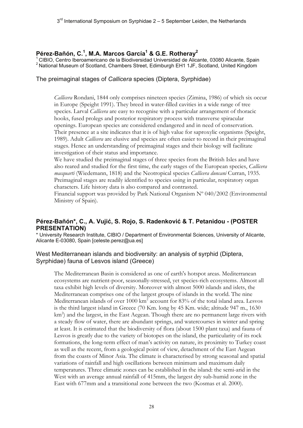## **Pérez-Bañón, C.1 , M.A. Marcos García1 & G.E. Rotheray2**

<sup>1</sup> CIBIO, Centro Iberoamericano de la Biodiversidad Universidad de Alicante, 03080 Alicante, Spain <sup>2</sup> National Museum of Scotland, Chambers Street, Edimburgh EH1 1JF, Scotland, United Kingdom

#### The preimaginal stages of *Callicera* species (Diptera, Syrphidae)

*Callicera* Rondani, 1844 only comprises nineteen species (Zimina, 1986) of which six occur in Europe (Speight 1991). They breed in water-filled cavities in a wide range of tree species. Larval *Callicera* are easy to recognise with a particular arrangement of thoracic hooks, fused prolegs and posterior respiratory process with transverse spiracular openings. European species are considered endangered and in need of conservation. Their presence at a site indicates that it is of high value for saproxylic organisms (Speight, 1989). Adult *Callicera* are elusive and species are often easier to record in their preimaginal stages. Hence an understanding of preimaginal stages and their biology will facilitate investigation of their status and importance.

We have studied the preimaginal stages of three species from the British Isles and have also reared and studied for the first time, the early stages of the European species, *Callicera macquarti* (Wiedemann, 1818) and the Neotropical species *Callicera duncani* Curran, 1935. Preimaginal stages are readily identified to species using in particular, respiratory organ characters. Life history data is also compared and contrasted.

Financial support was provided by Park National Organism Nº 040/2002 (Environmental Ministry of Spain).

## **Pérez-Bañón\*, C., A. Vujić, S. Rojo, S. Radenković & T. Petanidou - (POSTER PRESENTATION)**

\* University Research Institute, CIBIO / Department of Environmental Sciences, University of Alicante, Alicante E-03080, Spain [celeste.perez@ua.es]

#### West Mediterranean islands and biodiversity: an analysis of syrphid (Diptera, Syrphidae) fauna of Lesvos island (Greece)

The Mediterranean Basin is considered as one of earth's hotspot areas. Mediterranean ecosystems are nutrient-poor, seasonally-stressed, yet species-rich ecosystems. Almost all taxa exhibit high levels of diversity. Moreover with almost 5000 islands and islets, the Mediterranean comprises one of the largest groups of islands in the world. The nine Mediterranean islands of over 1000 km<sup>2</sup> account for 83% of the total island area. Lesvos is the third largest island in Greece (70 Km. long by 45 Km. wide; altitude 947 m., 1630 km<sup>2</sup>) and the largest, in the East Aegean. Though there are no permanent large rivers with a steady flow of water, there are abundant springs, and watercourses in winter and spring at least. It is estimated that the biodiversity of flora (about 1500 plant taxa) and fauna of Lesvos is greatly due to the variety of biotopes on the island, the particularity of its rock formations, the long-term effect of man's activity on nature, its proximity to Turkey coast as well as the recent, from a geological point of view, detachment of the East Aegean from the coasts of Minor Asia. The climate is characterised by strong seasonal and spatial variations of rainfall and high oscillations between minimum and maximum daily temperatures. Three climatic zones can be established in the island: the semi-arid in the West with an average annual rainfall of 415mm, the largest dry sub-humid zone in the East with 677mm and a transitional zone between the two (Kosmas et al. 2000).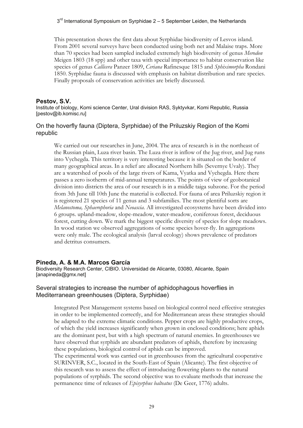This presentation shows the first data about Syrphidae biodiversity of Lesvos island. From 2001 several surveys have been conducted using both net and Malaise traps. More than 70 species had been sampled included extremely high biodiversity of genus *Merodon*  Meigen 1803 (18 spp) and other taxa with special importance to habitat conservation like species of genus *Callicera* Panzer 1809, *Ceriana* Rafinesque 1815 and *Sphiximorpha* Rondani 1850. Syrphidae fauna is discussed with emphasis on habitat distribution and rare species. Finally proposals of conservation activities are briefly discussed.

## **Pestov, S.V.**

Institute of biology, Komi science Center, Ural division RAS, Syktyvkar, Komi Republic, Russia [pestov@ib.komisc.ru]

## On the hoverfly fauna (Diptera, Syrphidae) of the Priluzskiy Region of the Komi republic

We carried out our researches in June, 2004. The area of research is in the northeast of the Russian plain, Luza river basin. The Luza river is inflow of the Jug river, and Jug runs into Vychegda. This territory is very interesting because it is situated on the border of many geographical areas. In a relief are allocated Northern hills (Severnye Uvaly). They are a watershed of pools of the large rivers of Kama, Vyatka and Vychegda. Here there passes a zero isotherm of mid-annual temperatures. The points of view of geobotanical division into districts the area of our research is in a middle taiga subzone. For the period from 3th June till 10th June the material is collected. For fauna of area Priluzskiy region it is registered 21 species of 11 genus and 3 subfamilies. The most plentiful sorts are *Melanostoma, Sphaerophoria* and *Neoascia*. All investigated ecosystems have been divided into 6 groups. upland-meadow, slope-meadow, water-meadow, coniferous forest, deciduous forest, cutting down. We mark the biggest specific diversity of species for slope meadows. In wood station we observed aggregations of some species hover-fly. In aggregations were only male. The ecological analysis (larval ecology) shows prevalence of predators and detritus consumers.

## **Pineda, A. & M.A. Marcos García**

Biodiversity Research Center, CIBIO. Universidad de Alicante, 03080, Alicante, Spain [anapineda@gmx.net]

#### Several strategies to increase the number of aphidophagous hoverflies in Mediterranean greenhouses (Diptera, Syrphidae)

Integrated Pest Management systems based on biological control need effective strategies in order to be implemented correctly, and for Mediterranean areas these strategies should be adapted to the extreme climatic conditions. Pepper crops are highly productive crops, of which the yield increases significantly when grown in enclosed conditions; here aphids are the dominant pest, but with a high spectrum of natural enemies. In greenhouses we have observed that syrphids are abundant predators of aphids, therefore by increasing these populations, biological control of aphids can be improved.

The experimental work was carried out in greenhouses from the agricultural cooperative SURINVER, S.C., located in the South-East of Spain (Alicante). The first objective of this research was to assess the effect of introducing flowering plants to the natural populations of syrphids. The second objective was to evaluate methods that increase the permanence time of releases of *Episyrphus balteatus* (De Geer, 1776) adults.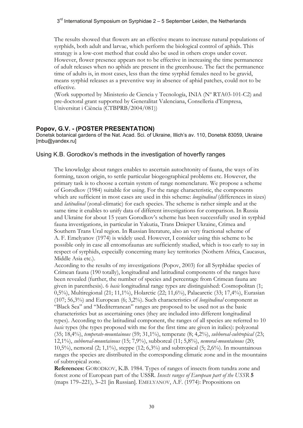The results showed that flowers are an effective means to increase natural populations of syrphids, both adult and larvae, which perform the biological control of aphids. This strategy is a low-cost method that could also be used in others crops under cover. However, flower presence appears not to be effective in increasing the time permanence of adult releases when no aphids are present in the greenhouse. The fact the permanence time of adults is, in most cases, less than the time syrphid females need to be gravid, means syrphid releases as a preventive way in absence of aphid patches, could not to be effective.

(Work supported by Ministerio de Ciencia y Tecnología, INIA (Nº RTA03-101-C2) and pre-doctoral grant supported by Generalitat Valenciana, Conselleria d'Empresa, Universitat i Ciència (CTBPRB/2004/081))

#### **Popov, G.V. - (POSTER PRESENTATION)**

Donetsk botanical gardens of the Nat. Acad. Sci. of Ukraine, Illich's av. 110, Donetsk 83059, Ukraine [mbu@yandex.ru]

#### Using K.B. Gorodkov's methods in the investigation of hoverfly ranges

The knowledge about ranges enables to ascertain autochtonity of fauna, the ways of its forming, taxon origin, to settle particular biogeographical problems etc. However, the primary task is to choose a certain system of range nomenclature. We propose a scheme of Gorodkov (1984) suitable for using. For the range characteristic, the components which are sufficient in most cases are used in this scheme: *longitudinal* (differences in sizes) and *latitudinal* (zonal-climatic) for each species. The scheme is rather simple and at the same time it enables to unify data of different investigations for comparison. In Russia and Ukraine for about 15 years Gorodkov's scheme has been successfully used in syrphid fauna investigations, in particular in Yakutia, Trans Dnieper Ukraine, Crimea and Southern Trans Ural region. In Russian literature, also an very fractional scheme of A. F. Emelyanov (1974) is widely used. However, I consider using this scheme to be possible only in case all entomofaunas are sufficiently studied, which is too early to say in respect of syrphids, especially concerning many key territories (Nothern Africa, Caucasus, Middle Asia etc.).

According to the results of my investigations (Popov, 2003) for all Syrphidae species of Crimean fauna (190 totally), longitudinal and latitudinal components of the ranges have been revealed (further, the number of species and percentage from Crimean fauna are given in parenthesis). 6 *basic* longitudinal range types are distinguished: Cosmopolitan (1; 0,5%), Multiregional (21; 11,1%), Holarctic (22; 11,6%), Palaearctic (33; 17,4%), Eurasian (107; 56,3%) and European (6; 3,2%). Such characteristics of *longitudinal* component as "Black Sea" and "Mediterranean" ranges are proposed to be used not as the basic characteristics but as ascertaining ones (they are included into different longitudinal types). According to the latitudinal component, the ranges of all species are referred to 10 *basic* types (the types proposed with me for the first time are given in italics): polyzonal (35; 18,4%), *temperate-mountainous* (59; 31,1%), temperate (8; 4,2%), *subboreal-subtropical* (23; 12,1%), *subboreal-mountainous* (15; 7,9%), subboreal (11; 5,8%), *nemoral-mountainous* (20; 10,5%), nemoral (2; 1,1%), steppe (12; 6,3%) and subtropical (5; 2,6%). In mountainous ranges the species are distributed in the corresponding climatic zone and in the mountains of subtropical zone.

**References:** GORODKOV, K.B. 1984. Types of ranges of insects from tundra zone and forest zone of European part of the USSR. *Insects ranges of European part of the USSR* **5**  (maps 179–221), 3–21 [in Russian]. EMELYANOV, А.F. (1974): Propositions on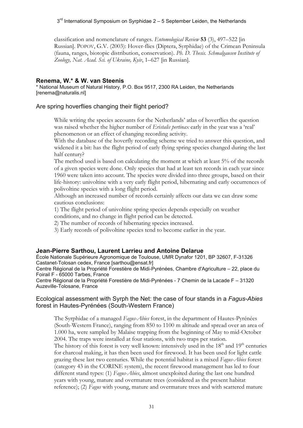classification and nomenclature of ranges. *Entomological Review* **53** (3), 497–522 [in Russian]. POPOV, G.V. (2003): Hover-flies (Diptera, Syrphidae) of the Crimean Peninsula (fauna, ranges, biotopic distribution, conservation). *Ph. D. Thesis. Schmalgausen Institute of Zoology, Nat. Acad. Sci. of Ukraine, Kyiv*, 1–627 [in Russian].

#### **Renema, W.\* & W. van Steenis**

\* National Museum of Natural History, P.O. Box 9517, 2300 RA Leiden, the Netherlands [renema@naturalis.nl]

#### Are spring hoverflies changing their flight period?

While writing the species accounts for the Netherlands' atlas of hoverflies the question was raised whether the higher number of *Eristalis pertinax* early in the year was a 'real' phenomenon or an effect of changing recording activity.

With the database of the hoverfly recording scheme we tried to answer this question, and widened it a bit: has the flight period of early flying spring species changed during the last half century?

The method used is based on calculating the moment at which at least 5% of the records of a given species were done. Only species that had at least ten records in each year since 1960 were taken into account. The species were divided into three groups, based on their life-history: univoltine with a very early flight period, hibernating and early occurrences of polivoltine species with a long flight period.

Although an increased number of records certainly affects our data we can draw some cautious conclusions:

1) The flight period of univoltine spring species depends especially on weather conditions, and no change in flight period can be detected.

2) The number of records of hibernating species increased.

3) Early records of polivoltine species tend to become earlier in the year.

#### **Jean-Pierre Sarthou, Laurent Larrieu and Antoine Delarue**

École Nationale Supérieure Agronomique de Toulouse, UMR Dynafor 1201, BP 32607, F-31326 Castanet-Tolosan cedex, France [sarthou@ensat.fr]

Centre Régional de la Propriété Forestière de Midi-Pyrénées, Chambre d'Agriculture – 22, place du Foirail F - 65000 Tarbes, France

Centre Régional de la Propriété Forestière de Midi-Pyrénées - 7 Chemin de la Lacade F – 31320 Auzeville-Tolosane, France

#### Ecological assessment with Syrph the Net: the case of four stands in a *Fagus-Abies* forest in Hautes-Pyrénées (South-Western France)

The Syrphidae of a managed *Fagus-Abies* forest, in the department of Hautes-Pyrénées (South-Western France), ranging from 850 to 1100 m altitude and spread over an area of 1.000 ha, were sampled by Malaise trapping from the beginning of May to mid-October 2004. The traps were installed at four stations, with two traps per station. The history of this forest is very well known: intensively used in the  $18<sup>th</sup>$  and  $19<sup>th</sup>$  centuries for charcoal making, it has then been used for firewood. It has been used for light cattle grazing these last two centuries. While the potential habitat is a mixed *Fagus-Abies* forest (category 43 in the CORINE system), the recent firewood management has led to four different stand types: (1) *Fagus-Abies*, almost unexploited during the last one hundred years with young, mature and overmature trees (considered as the present habitat reference); (2) *Fagus* with young, mature and overmature trees and with scattered mature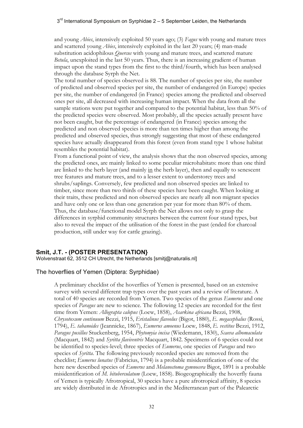and young *Abies*, intensively exploited 50 years ago; (3) *Fagus* with young and mature trees and scattered young *Abies*, intensively exploited in the last 20 years; (4) man-made substitution acidophilous *Quercus* with young and mature trees, and scattered mature *Betula*, unexploited in the last 50 years. Thus, there is an increasing gradient of human impact upon the stand types from the first to the third/fourth, which has been analysed through the database Syrph the Net.

The total number of species observed is 88. The number of species per site, the number of predicted and observed species per site, the number of endangered (in Europe) species per site, the number of endangered (in France) species among the predicted and observed ones per site, all decreased with increasing human impact. When the data from all the sample stations were put together and compared to the potential habitat, less than 50% of the predicted species were observed. Most probably, all the species actually present have not been caught, but the percentage of endangered (in France) species among the predicted and non observed species is more than ten times higher than among the predicted and observed species, thus strongly suggesting that most of these endangered species have actually disappeared from this forest (even from stand type 1 whose habitat resembles the potential habitat).

From a functional point of view, the analysis shows that the non observed species, among the predicted ones, are mainly linked to some peculiar microhabitats: more than one third are linked to the herb layer (and mainly in the herb layer), then and equally to senescent tree features and mature trees, and to a lesser extent to understorey trees and shrubs/saplings. Conversely, few predicted and non observed species are linked to timber, since more than two thirds of these species have been caught. When looking at their traits, these predicted and non observed species are nearly all non migrant species and have only one or less than one generation per year for more than 80% of them. Thus, the database/functional model Syrph the Net allows not only to grasp the differences in syrphid community structures between the current four stand types, but also to reveal the impact of the utilisation of the forest in the past (ended for charcoal production, still under way for cattle grazing).

#### **Smit, J.T. - (POSTER PRESENTATION}**

Wolvenstraat 62, 3512 CH Utrecht, the Netherlands [smitj@naturalis.nl]

#### The hoverflies of Yemen (Diptera: Syrphidae)

A preliminary checklist of the hoverflies of Yemen is presented, based on an extensive survey with several different trap types over the past years and a review of literature. A total of 40 species are recorded from Yemen. Two species of the genus *Eumerus* and one species of *Paragus* are new to science. The following 12 species are recorded for the first time from Yemen: *Allograpta calopus* (Loew, 1858), *Asarkina africana* Bezzi, 1908, *Chrysotoxum continuum* Bezzi, 1915, *Eristalinus flaveolus* (Bigot, 1880), *E. megacephalus* (Rossi, 1794), *E. tabanoides* (Jeannicke, 1867), *Eumerus amoenus* Loew, 1848, *E. vestitus* Bezzi, 1912, *Paragus pusillus* Stuckenberg, 1954, *Phytomyia incisa* (Wiedemann, 1830), *Scaeva albomaculata*  (Macquart, 1842) and *Syritta flaviventris* Macquart, 1842. Specimens of 6 species could not be identified to species-level; three species of *Eumerus*, one species of *Paragus* and two species of *Syritta*. The following previously recorded species are removed from the checklist; *Eumerus lunatus* (Fabricius, 1794) is a probable misidentification of one of the here new described species of *Eumerus* and *Melanostoma gymnocera* Bigot, 1891 is a probable misidentification of *M. bituberculatum* (Loew, 1858). Biogeographically the hoverfly fauna of Yemen is typically Afrotropical, 30 species have a pure afrotropical affinity, 8 species are widely distributed in de Afrotropics and in the Mediterranean part of the Palearctic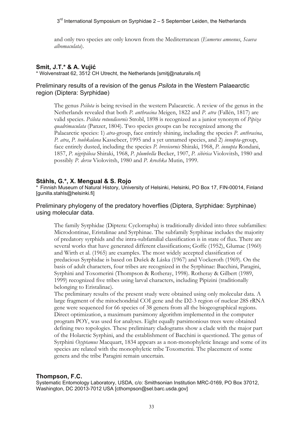and only two species are only known from the Mediterranean (*Eumerus amoenus*, *Scaeva albomaculata*).

## **Smit, J.T.\* & A. Vujić**

\* Wolvenstraat 62, 3512 CH Utrecht, the Netherlands [smitj@naturalis.nl]

## Preliminary results of a revision of the genus *Psilota* in the Western Palaearctic region (Diptera: Syrphidae)

The genus *Psilota* is being revised in the western Palaearctic. A review of the genus in the Netherlands revealed that both *P. anthracina* Meigen, 1822 and *P. atra* (Fallén, 1817) are valid species. *Psilota rotundicornis* Strobl, 1898 is recognized as a junior synonym of *Pipiza quadrimaculata* (Panzer, 1804). Two species groups can be recognized among the Palaearctic species: 1) *atra*-group, face entirely shining, including the species *P. anthracina*, *P. atra*, *P. toubkalana* Kassebeer, 1995 and a yet unnamed species, and 2) *innupta*-group, face entirely dusted, including the species *P. brevicornis* Shiraki, 1968, *P. innupta* Rondani, 1857, *P. nigripilosa* Shiraki, 1968, *P. plumbella* Becker, 1907, *P. sibirica* Violovitsh, 1980 and possibly *P. dersu* Violovitsh, 1980 and *P. kroshka* Mutin, 1999.

## **Ståhls, G.\*, X. Mengual & S. Rojo**

\* Finnish Museum of Natural History, University of Helsinki, Helsinki, PO Box 17, FIN-00014, Finland [gunilla.stahls@helsinki.fi]

#### Preliminary phylogeny of the predatory hoverflies (Diptera, Syrphidae: Syrphinae) using molecular data.

The family Syrphidae (Diptera: Cyclorrapha) is traditionally divided into three subfamilies: Microdontinae, Eristalinae and Syrphinae. The subfamily Syrphinae includes the majority of predatory syrphids and the intra-subfamilial classification is in state of flux. There are several works that have generated different classifications; Goffe (1952), Glumac (1960) and Wirth et al. (1965) are examples. The most widely accepted classification of predacious Syrphidae is based on Dušek & Láska (1967) and Vockeroth (1969). On the basis of adult characters, four tribes are recognized in the Syrphinae: Bacchini, Paragini, Syrphini and Toxomerini (Thompson & Rotheray, 1998). Rotheray & Gilbert (1989, 1999) recognized five tribes using larval characters, including Pipizini (traditionally belonging to Eristalinae).

The preliminary results of the present study were obtained using only molecular data. A large fragment of the mitochondrial COI gene and the D2-3 region of nuclear 28S rRNA gene were sequenced for 66 species of 38 genera from all the biogeographical regions. Direct optimization, a maximum parsimony algorithm implemented in the computer program POY, was used for analyses. Eight equally parsimonious trees were obtained defining two topologies. These preliminary cladograms show a clade with the major part of the Holarctic Syrphini, and the establishment of Bacchini is questioned. The genus of Syrphini *Ocyptamus* Macquart, 1834 appears as a non-monophyletic lineage and some of its species are related with the monophyletic tribe Toxomerini. The placement of some genera and the tribe Paragini remain uncertain.

#### **Thompson, F.C.**

Systematic Entomology Laboratory, USDA, c/o: Smithsonian Institution MRC-0169, PO Box 37012, Washington, DC 20013-7012 USA [cthompson@sel.barc.usda.gov]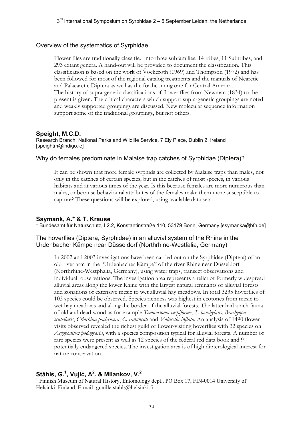#### Overview of the systematics of Syrphidae

Flower flies are traditionally classified into three subfamilies, 14 tribes, 11 Subtribes, and 293 extant genera. A hand-out will be provided to document the classification. This classification is based on the work of Vockeroth (1969) and Thompson (1972) and has been followed for most of the regional catalog treatments and the manuals of Nearctic and Palaearctic Diptera as well as the forthcoming one for Central America. The history of supra-generic classifications of flower flies from Newman (1834) to the present is given. The critical characters which support supra-generic groupings are noted and weakly supported groupings are discussed. New molecular sequence information support some of the traditional groupings, but not others.

#### **Speight, M.C.D.**

Research Branch, National Parks and Wildlife Service, 7 Ely Place, Dublin 2, Ireland [speightm@indigo.ie]

#### Why do females predominate in Malaise trap catches of Syrphidae (Diptera)?

It can be shown that more female syrphids are collected by Malaise traps than males, not only in the catches of certain species, but in the catches of most species, in various habitats and at various times of the year. Is this because females are more numerous than males, or because behavioural attributes of the females make them more susceptible to capture? These questions will be explored, using available data sets.

#### **Ssymank, A.\* & T. Krause**

\* Bundesamt für Naturschutz, I.2.2, Konstantinstraße 110, 53179 Bonn, Germany [ssymanka@bfn.de]

#### The hoverflies (Diptera, Syrphidae) in an alluvial system of the Rhine in the Urdenbacher Kämpe near Düsseldorf (Northrhine-Westfalia, Germany)

In 2002 and 2003 investigations have been carried out on the Syrphidae (Diptera) of an old river arm in the "Urdenbacher Kämpe" of the river Rhine near Düsseldorf (Northrhine-Westphalia, Germany), using water traps, transect observations and individual observations. The investigation area represents a relict of formerly widespread alluvial areas along the lower Rhine with the largest natural remnants of alluvial forests and zonations of extensive mesic to wet alluvial hay meadows. In total 3235 hoverflies of 103 species could be observed. Species richness was highest in ecotones from mesic to wet hay meadows and along the border of the alluvial forests. The latter had a rich fauna of old and dead wood as for example *Temnostoma vespiforme*, *T. bombylans*, *Brachyopa scutellaris*, *Criorhina pachymera*, *C. ranunculi* and *Volucella inflata*. An analysis of 1490 flower visits observed revealed the richest guild of flower-visiting hoverflies with 32 species on *Aegopodium podagraria*, with a species composition typical for alluvial forests. A number of rare species were present as well as 12 species of the federal red data book and 9 potentially endangered species. The investigation area is of high dipterological interest for nature conservation.

## **Ståhls, G.1 , Vujić, A2 . & Milankov, V.2**

<sup>1</sup> Finnish Museum of Natural History, Entomology dept., PO Box 17, FIN-0014 University of Helsinki, Finland. E-mail: gunilla.stahls@helsinki.fi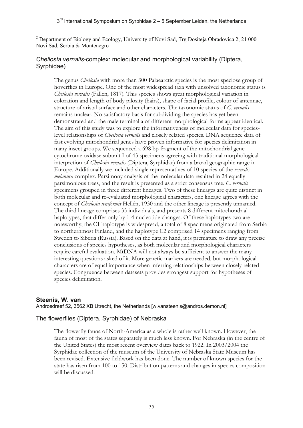<sup>2</sup> Department of Biology and Ecology, University of Novi Sad, Trg Dositeja Obradovica 2, 21 000 Novi Sad, Serbia & Montenegro

#### *Cheilosia vernalis*-complex: molecular and morphological variability (Diptera, Syrphidae)

The genus *Cheilosia* with more than 300 Palaearctic species is the most speciose group of hoverflies in Europe. One of the most widespread taxa with unsolved taxonomic status is *Cheilosia vernalis* (Fallen, 1817)*.* This species shows great morphological variation in coloration and length of body pilosity (hairs), shape of facial profile, colour of antennae, structure of aristal surface and other characters. The taxonomic status of *C. vernalis* remains unclear. No satisfactory basis for subdividing the species has yet been demonstrated and the male terminalia of different morphological forms appear identical. The aim of this study was to explore the informativeness of molecular data for specieslevel relationships of *Cheilosia vernalis* and closely related species. DNA sequence data of fast evolving mitochondrial genes have proven informative for species delimitation in many insect groups. We sequenced a 698 bp fragment of the mitochondrial gene cytochrome oxidase subunit I of 43 specimens agreeing with traditional morphological interpretion of *Cheilosia vernalis* (Diptera, Syrphidae) from a broad geographic range in Europe. Additionally we included single representatives of 10 species of the *vernalismelanura* complex. Parsimony analysis of the molecular data resulted in 24 equally parsimonious trees, and the result is presented as a strict consensus tree. *C. vernalis*  specimens grouped in three different lineages. Two of these lineages are quite distinct in both molecular and re-evaluated morphological characters, one lineage agrees with the concept of *Cheilosia reniformis* Hellén, 1930 and the other lineage is presently unnamed. The third lineage comprises 33 individuals, and presents 8 different mitochondrial haplotypes, that differ only by 1-4 nucleotide changes. Of these haplotypes two are noteworthy, the C1 haplotype is widespread, a total of 8 specimens originated from Serbia to northernmost Finland, and the haplotype C2 comprised 14 specimens ranging from Sweden to Siberia (Russia). Based on the data at hand, it is premature to draw any precise conclusions of species hypotheses, as both molecular and morphological characters require careful evaluation. MtDNA will not always be sufficient to answer the many interesting questions asked of it. More genetic markers are needed, but morphological characters are of equal importance when inferring relationships between closely related species. Congruence between datasets provides strongest support for hypotheses of species delimitation.

#### **Steenis, W. van**

Androsdreef 52, 3562 XB Utrecht, the Netherlands [w.vansteenis@andros.demon.nl]

#### The flowerflies (Diptera, Syrphidae) of Nebraska

The flowerfly fauna of North-America as a whole is rather well known. However, the fauna of most of the states separately is much less known. For Nebraska (in the centre of the United States) the most recent overview dates back to 1922. In 2003/2004 the Syrphidae collection of the museum of the University of Nebraska State Museum has been revised. Extensive fieldwork has been done. The number of known species for the state has risen from 100 to 150. Distribution patterns and changes in species composition will be discussed.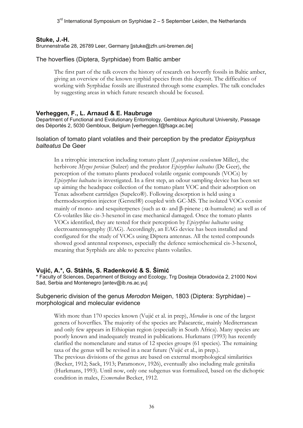$3<sup>rd</sup>$  International Symposium on Syrphidae 2 – 5 September Leiden, the Netherlands

#### **Stuke, J.-H.**

Brunnenstraße 28, 26789 Leer, Germany [jstuke@zfn.uni-bremen.de]

#### The hoverflies (Diptera, Syrphidae) from Baltic amber

The first part of the talk covers the history of research on hoverfly fossils in Baltic amber, giving an overview of the known syrphid species from this deposit. The difficulties of working with Syrphidae fossils are illustrated through some examples. The talk concludes by suggesting areas in which future research should be focused.

#### **Verheggen, F., L. Arnaud & E. Haubruge**

Department of Functional and Evolutionary Entomology, Gembloux Agricultural University, Passage des Déportés 2, 5030 Gembloux, Belgium [verheggen.f@fsagx.ac.be]

#### Isolation of tomato plant volatiles and their perception by the predator *Episyrphus balteatus* De Geer

In a tritrophic interaction including tomato plant (*Lycopersicon esculentum* Miller), the herbivore *Myzus persicae* (Sulzer) and the predator *Episyrphus balteatus* (De Geer), the perception of the tomato plants produced volatile organic compounds (VOCs) by *Episyrphus balteatus* is investigated. In a first step, an odour sampling device has been set up aiming the headspace collection of the tomato plant VOC and their adsorption on Tenax adsorbent cartridges (Supelco®). Following desorption is held using a thermodesorption injector (Gerstel®) coupled with GC-MS. The isolated VOCs consist mainly of mono- and sesquiterpenes (such as  $\alpha$ - and  $\beta$ -pinene;  $\alpha$ -humulene) as well as of C6-volatiles like cis-3-hexenol in case mechanical damaged. Once the tomato plants VOCs identified, they are tested for their perception by *Episyrphus balteatus* using electroantennography (EAG). Accordingly, an EAG device has been installed and configured for the study of VOCs using Diptera antennas. All the tested compounds showed good antennal responses, especially the defence semiochemical cis-3-hexenol, meaning that Syrphids are able to perceive plants volatiles.

#### **Vujić, A.\*, G. Ståhls, S. Radenković & S. Šimić**

\* Faculty of Sciences, Department of Biology and Ecology, Trg Dositeja Obradovića 2, 21000 Novi Sad, Serbia and Montenegro [antev@ib.ns.ac.yu]

#### Subgeneric division of the genus *Merodon* Meigen, 1803 (Diptera: Syrphidae) – morphological and molecular evidence

With more than 170 species known (Vujić et al. in prep), *Merodon* is one of the largest genera of hoverflies. The majority of the species are Palaearctic, mainly Mediterranean and only few appears in Ethiopian region (especially in South Africa). Many species are poorly known and inadequately treated in publications. Hurkmans (1993) has recently clarified the nomenclature and status of 12 species groups (61 species). The remaining taxa of the genus will be revised in a near future (Vujić et al., in prep.). The previous divisions of the genus are based on external morphological similarities (Becker, 1912; Sack, 1913; Paramonov, 1926), eventually also including male genitalia (Hurkmans, 1993). Until now, only one subgenus was formalized, based on the dichoptic condition in males, *Exmerodon* Becker, 1912.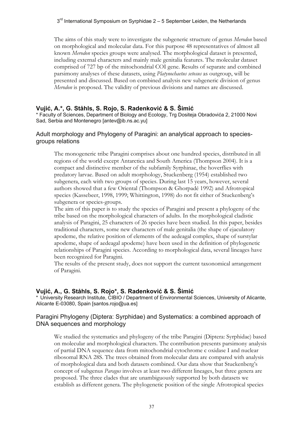The aims of this study were to investigate the subgeneric structure of genus *Merodon* based on morphological and molecular data. For this purpose 48 representatives of almost all known *Merodon* species groups were analysed. The morphological dataset is presented, including external characters and mainly male genitalia features. The molecular dataset comprised of 727 bp of the mitochondrial COI gene. Results of separate and combined parsimony analyses of these datasets, using *Platynochaetus setosus* as outgroup, will be presented and discussed. Based on combined analysis new subgeneric division of genus *Merodon* is proposed. The validity of previous divisions and names are discussed.

## **Vujić, A.\*, G. Ståhls, S. Rojo, S. Radenković & S. Šimić**

\* Faculty of Sciences, Department of Biology and Ecology, Trg Dositeja Obradovića 2, 21000 Novi Sad, Serbia and Montenegro [antev@ib.ns.ac.yu]

#### Adult morphology and Phylogeny of Paragini: an analytical approach to speciesgroups relations

The monogeneric tribe Paragini comprises about one hundred species, distributed in all regions of the world except Antarctica and South America (Thompson 2004). It is a compact and distinctive member of the subfamily Syrphinae, the hoverflies with predatory larvae. Based on adult morphology, Stuckenberg (1954) established two subgenera, each with two groups of species. During last 15 years, however, several authors showed that a few Oriental (Thompson & Ghorpadé 1992) and Afrotropical species (Kassebeer, 1998, 1999; Whittington, 1998) do not fit either of Stuckenberg's subgenera or species-groups.

The aim of this paper is to study the species of Paragini and present a phylogeny of the tribe based on the morphological characters of adults. In the morphological cladistic analysis of Paragini, 25 characters of 26 species have been studied. In this paper, besides traditional characters, some new characters of male genitalia (the shape of ejaculatory apodeme, the relative position of elements of the aedeagal complex, shape of surstylar apodeme, shape of aedeagal apodeme) have been used in the definition of phylogenetic relationships of Paragini species. According to morphological data, several lineages have been recognized for Paragini.

The results of the present study, does not support the current taxonomical arrangement of Paragini.

## **Vujić, A., G. Ståhls, S. Rojo\*, S. Radenković & S. Šimić**

\* University Research Institute, CIBIO / Department of Environmental Sciences, University of Alicante, Alicante E-03080, Spain [santos.rojo@ua.es]

#### Paragini Phylogeny (Diptera: Syrphidae) and Systematics: a combined approach of DNA sequences and morphology

We studied the systematics and phylogeny of the tribe Paragini (Diptera: Syrphidae) based on molecular and morphological characters. The contribution presents parsimony analysis of partial DNA sequence data from mitochondrial cytochrome c oxidase I and nuclear ribosomal RNA 28S. The trees obtained from molecular data are compared with analysis of morphological data and both datasets combined. Our data show that Stuckenberg's concept of subgenus *Paragus* involves at least two different lineages, but three genera are proposed. The three clades that are unambiguously supported by both datasets we establish as different genera. The phylogenetic position of the single Afrotropical species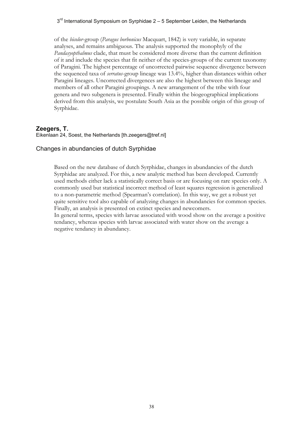$3<sup>rd</sup>$  International Symposium on Syrphidae 2 – 5 September Leiden, the Netherlands

of the *bicolor*-group (*Paragus borbonicus* Macquart, 1842) is very variable, in separate analyses, and remains ambiguous. The analysis supported the monophyly of the *Pandasyopthalmus* clade, that must be considered more diverse than the current definition of it and include the species that fit neither of the species-groups of the current taxonomy of Paragini. The highest percentage of uncorrected pairwise sequence divergence between the sequenced taxa of *serratus*-group lineage was 13.4%, higher than distances within other Paragini lineages. Uncorrected divergences are also the highest between this lineage and members of all other Paragini groupings. A new arrangement of the tribe with four genera and two subgenera is presented. Finally within the biogeographical implications derived from this analysis, we postulate South Asia as the possible origin of this group of Syrphidae.

#### **Zeegers, T.**

Eikenlaan 24, Soest, the Netherlands [th.zeegers@tref.nl]

#### Changes in abundancies of dutch Syrphidae

Based on the new database of dutch Syrphidae, changes in abundancies of the dutch Syrphidae are analyzed. For this, a new analytic method has been developed. Currently used methods either lack a statistically correct basis or are focusing on rare species only. A commonly used but statistical incorrect method of least squares regression is generalized to a non-parametric method (Spearman's correlation). In this way, we get a robust yet quite sensitive tool also capable of analyzing changes in abundancies for common species. Finally, an analysis is presented on extinct species and newcomers.

In general terms, species with larvae associated with wood show on the average a positive tendancy, whereas species with larvae associated with water show on the average a negative tendancy in abundancy.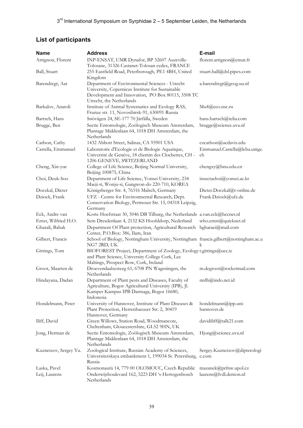# **List of participants**

| <b>Name</b>           | <b>Address</b>                                                                                                                                                      | E-mail                                |
|-----------------------|---------------------------------------------------------------------------------------------------------------------------------------------------------------------|---------------------------------------|
| Arrignon, Florent     | INP-ENSAT, UMR Dynafor, BP 32607 Auzeville-<br>Tolosane, 31326 Castanet-Tolosan cedex, FRANCE                                                                       | florent.arrignon@ensat.fr             |
| Ball, Stuart          | 255 Eastfield Road, Peterborough, PE1 4BH, United<br>Kingdom                                                                                                        | stuart.ball@dsl.pipex.com             |
| Barendregt, Aat       | Department of Environmental Sciences - Utrecht<br>University, Copernicus Institute for Sustainable                                                                  | a.barendregt@geog.uu.nl               |
|                       | Development and Innovation, PO Box 80115, 3508 TC<br>Utrecht, the Netherlands                                                                                       |                                       |
| Barkalov, Anatoli     | Institute of Animal Systematics and Ecology RAS,<br>Frunze str. 11, Novosibirsk-91, 630091 Russia                                                                   | Mu4@eco.nsc.ru                        |
| Bartsch, Hans         | Snövägen 24, SE-177 70 Järfälla, Sweden                                                                                                                             | hans.bartsch@telia.com                |
| Brugge, Ben           | Sectie Entomologie, Zoölogisch Museum Amsterdam,<br>Plantage Middenlaan 64, 1018 DH Amsterdam, the                                                                  | brugge@science.uva.nl                 |
|                       | Netherlands                                                                                                                                                         |                                       |
| Carlson, Cathy        | 1432 Abbott Street, Salinas, CA 93901 USA                                                                                                                           | czcarlson@ucdavis.edu                 |
| Castella, Emmanuel    | Laboratoire d'Ecologie et de Biologie Aquatique,<br>Université de Genève, 18 chemin des Clochettes, CH -<br>1206 GENEVE, SWITZERLAND                                | Emmanuel.Castella@leba.unige.<br>ch   |
| Cheng, Xin-yue        | College of Life Science, Beijing Normal University,<br>Beijing 100875, China                                                                                        | chengxy@bnu.edu.cn                    |
| Choi, Deuk-Soo        | Department of Life Science, Yonsei University, 234<br>Maeji-ri, Wonju-si, Gangwon-do 220-710, KOREA                                                                 | insectachoi@yonsei.ac.kr              |
| Doczkal, Dieter       | Königsberger Str. 4, 76316 Malsch, Germany                                                                                                                          | Dieter.Doczkal@t-online.de            |
| Dziock, Frank         | UFZ - Centre for Environmental Research, Dept.<br>Conservation Biology, Permoser Str. 15, 04318 Leipzig,<br>Germany                                                 | Frank.Dziock@ufz.de                   |
| Eck, Andre van        | Korte Hoefstraat 30, 5046 DB Tilburg, the Netherlands a.van.eck@hccnet.nl                                                                                           |                                       |
| Ernst, Wilfried H.O.  | Sem Dresdenlaan 4, 2132 KS Hoofddorp, Nederland                                                                                                                     | who.ernst@quicknet.nl                 |
| Gharali, Babak        | Department Of Plant protection, Agricultural Research bgharaei@mail.com<br>Center, P.O.Box: 386, Ilam, Iran                                                         |                                       |
| Gilbert, Francis      | School of Biology, Nottingham University, Nottingham francis.gilbert@nottingham.ac.u<br>NG7 2RD, UK                                                                 | k                                     |
| Gittings, Tom         | BIOFOREST Project, Department of Zoology, Ecology t.gittings@ucc.ie<br>and Plant Science, University College Cork, Lee<br>Maltings, Prospect Row, Cork, Ireland     |                                       |
| Groot, Maarten de     | Droevendaalsesteeg 61, 6708 PN Wageningen, the<br>Netherlands                                                                                                       | m.degroot@rocketmail.com              |
| Hindayana, Dadan      | Department of Plant pests and Diseases, Faculty of<br>Agriculture, Bogor Agricultural University (IPB), Jl.<br>Kamper Kampus IPB Darmaga, Bogor 16680,<br>Indonesia | nrdh@indo.net.id                      |
| Hondelmann, Peter     | University of Hannover, Institute of Plant Diseases &<br>Plant Protection, Herrenhaeuser Str. 2, 30419<br>Hannover, Germany                                         | hondelmann@ipp.uni-<br>hannover.de    |
| Iliff, David          | Green Willows, Station Road, Woodmancote,<br>Cheltenham, Gloucestershire, GL52 9HN, UK                                                                              | davidiliff@talk21.com                 |
| Jong, Herman de       | Sectie Entomologie, Zoölogisch Museum Amsterdam,<br>Plantage Middenlaan 64, 1018 DH Amsterdam, the<br>Netherlands                                                   | Hjong@science.uva.nl                  |
| Kuznetzov, Sergey Yu. | Zoological Institute, Russian Academy of Sciences,<br>Universitetskaya embankment 1, 199034 St. Petersburg,<br>Russia                                               | Sergey.Kuznetzov@dipterologi<br>c.com |
| Laska, Pavel          | Kosmonautů 14, 779 00 OLOMOUC, Czech Republic                                                                                                                       | mazanek@prfnw.upol.cz                 |
| Leij, Laurens         | Onderwijsboulevard 162, 5223 DH 's-Hertogenbosch<br>Netherlands                                                                                                     | laurens@lvdl.demon.nl                 |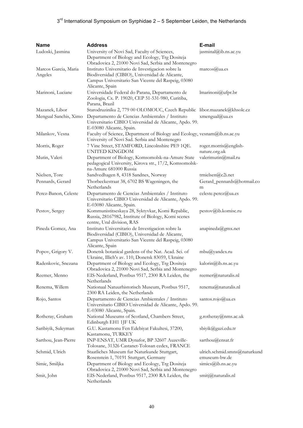# $3<sup>rd</sup>$  International Symposium on Syrphidae 2 – 5 September Leiden, the Netherlands

| <b>Name</b>                     | <b>Address</b>                                                                                                                                                                 | E-mail                                        |
|---------------------------------|--------------------------------------------------------------------------------------------------------------------------------------------------------------------------------|-----------------------------------------------|
| Ludoski, Jasmina                | University of Novi Sad, Faculty of Sciences,<br>Department of Biology and Ecology, Trg Dositeja<br>Obradovica 2, 21000 Novi Sad, Serbia and Montenegro                         | jasminal@ib.ns.ac.yu                          |
| Marcos Garcia, Maria<br>Angeles | Instituto Universitario de Investigacion sobre la<br>Biodiversidad (CIBIO), Universidad de Alicante,<br>Campus Universitario San Vicente del Raspeig, 03080<br>Alicante, Spain | $marcos(\hat{a})$ ua.es                       |
| Marinoni, Luciane               | Universidade Federal do Parana, Departamento de<br>Zoologia, Cx. P. 19020, CEP 51-531-980, Curitiba,<br>Parana, Brazil                                                         | $l$ marinoni $@$ ufpr.br                      |
| Mazanek, Libor                  | Starodruziníku 2, 779 00 OLOMOUC, Czech Republic libor.mazanek@khsolc.cz                                                                                                       |                                               |
| Mengual Sanchis, Ximo           | Departamento de Ciencias Ambientales / Instituto<br>Universitario CIBIO Universidad de Alicante, Apdo. 99.<br>E-03080 Alicante, Spain.                                         | xmengual@ua.es                                |
| Milankov, Vesna                 | Faculty of Science, Department of Biology and Ecology, vesnam@ib.ns.ac.yu<br>University of Novi Sad. Serbia and Montenegro                                                     |                                               |
| Morris, Roger                   | 7 Vine Street, STAMFORD, Lincolnshire PE9 1QE.<br><b>UNITED KINGDOM</b>                                                                                                        | roger.morris@english-<br>nature.org.uk        |
| Mutin, Valeri                   | Department of Biology, Komsomolsk-na-Amure State<br>pedagogical University, Kirova str., 17/2, Komsomolsk-<br>na-Amure 681000 Russia                                           | valerimutin@mail.ru                           |
| Nielsen, Tore                   | Sandvedhagen 8, 4318 Sandnes, Norway                                                                                                                                           | trnielsen@c2i.net                             |
| Pennards, Gerard                | Thorbeckestraat 38, 6702 BS Wageningen, the<br>Netherlands                                                                                                                     | Gerard_pennards@hotmail.co<br>m               |
| Perez-Banon, Celeste            | Departamento de Ciencias Ambientales / Instituto<br>Universitario CIBIO Universidad de Alicante, Apdo. 99.<br>E-03080 Alicante, Spain.                                         | celeste.perez@ua.es                           |
| Pestov, Sergey                  | Kommunistitseskaya 28, Syktyvkar, Komi Repablic,<br>Russia, 28167982, Institute of Biology, Komi scenes<br>centre, Ural division, RAS                                          | pestov@ib.komisc.ru                           |
| Pineda Gomez, Ana               | Instituto Universitario de Investigacion sobre la<br>Biodiversidad (CIBIO), Universidad de Alicante,<br>Campus Universitario San Vicente del Raspeig, 03080<br>Alicante, Spain | anapineda@gmx.net                             |
| Popov, Grigory V.               | Donetsk botanical gardens of the Nat. Acad. Sci. of<br>Ukraine, Illich's av. 110, Donetsk 83059, Ukraine                                                                       | $mbu$ @yandex.ru                              |
| Radenkovic, Snezana             | Department of Biology and Ecology, Trg Dositeja<br>Obradovica 2, 21000 Novi Sad, Serbia and Montenegro                                                                         | kalorin@ib.ns.ac.yu                           |
| Reemer, Menno                   | EIS-Nederland, Postbus 9517, 2300 RA Leiden, the<br>Netherlands                                                                                                                | reemer@naturalis.nl                           |
| Renema, Willem                  | Nationaal Natuurhistorisch Museum, Postbus 9517,<br>2300 RA Leiden, the Netherlands                                                                                            | renema@naturalis.nl                           |
| Rojo, Santos                    | Departamento de Ciencias Ambientales / Instituto<br>Universitario CIBIO Universidad de Alicante, Apdo. 99.<br>E-03080 Alicante, Spain.                                         | santos.rojo@ua.es                             |
| Rotheray, Graham                | National Museums of Scotland, Chambers Street,<br>Edinburgh EH1 1JF UK                                                                                                         | g.rotheray@nms.ac.uk                          |
| Saribiyik, Suleyman             | G.U. Kastamonu Fen Edebiyat Fakultesi, 37200,<br>Kastamonu, TURKEY                                                                                                             | sbiyik@gazi.edu.tr                            |
| Sarthou, Jean-Pierre            | INP-ENSAT, UMR Dynafor, BP 32607 Auzeville-<br>Tolosane, 31326 Castanet-Tolosan cedex, FRANCE                                                                                  | sarthou@ensat.fr                              |
| Schmid, Ulrich                  | Staatliches Museum fur Naturkunde Stuttgart,<br>Rosenstein 1, 70191 Stuttgart, Germany                                                                                         | ulrich.schmid.smns@naturkund<br>emuseum-bw.de |
| Simic, Smiljka                  | Department of Biology and Ecology, Trg Dositeja<br>Obradovica 2, 21000 Novi Sad, Serbia and Montenegro                                                                         | simics@ib.ns.ac.yu                            |
| Smit, John                      | EIS-Nederland, Postbus 9517, 2300 RA Leiden, the<br>Netherlands                                                                                                                | smitj@naturalis.nl                            |